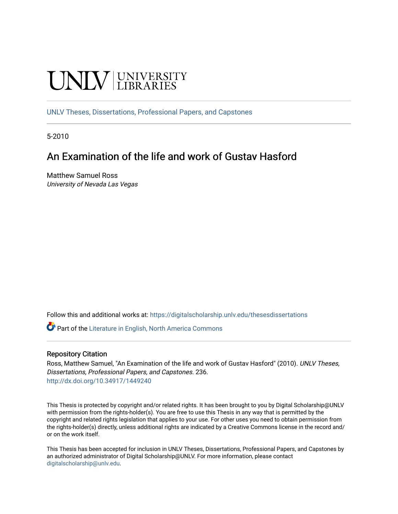# UNIV UNIVERSITY

[UNLV Theses, Dissertations, Professional Papers, and Capstones](https://digitalscholarship.unlv.edu/thesesdissertations)

5-2010

# An Examination of the life and work of Gustav Hasford

Matthew Samuel Ross University of Nevada Las Vegas

Follow this and additional works at: [https://digitalscholarship.unlv.edu/thesesdissertations](https://digitalscholarship.unlv.edu/thesesdissertations?utm_source=digitalscholarship.unlv.edu%2Fthesesdissertations%2F236&utm_medium=PDF&utm_campaign=PDFCoverPages)

Part of the [Literature in English, North America Commons](http://network.bepress.com/hgg/discipline/458?utm_source=digitalscholarship.unlv.edu%2Fthesesdissertations%2F236&utm_medium=PDF&utm_campaign=PDFCoverPages) 

### Repository Citation

Ross, Matthew Samuel, "An Examination of the life and work of Gustav Hasford" (2010). UNLV Theses, Dissertations, Professional Papers, and Capstones. 236. <http://dx.doi.org/10.34917/1449240>

This Thesis is protected by copyright and/or related rights. It has been brought to you by Digital Scholarship@UNLV with permission from the rights-holder(s). You are free to use this Thesis in any way that is permitted by the copyright and related rights legislation that applies to your use. For other uses you need to obtain permission from the rights-holder(s) directly, unless additional rights are indicated by a Creative Commons license in the record and/ or on the work itself.

This Thesis has been accepted for inclusion in UNLV Theses, Dissertations, Professional Papers, and Capstones by an authorized administrator of Digital Scholarship@UNLV. For more information, please contact [digitalscholarship@unlv.edu](mailto:digitalscholarship@unlv.edu).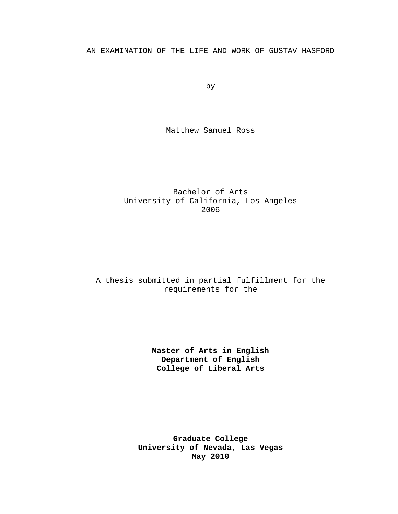AN EXAMINATION OF THE LIFE AND WORK OF GUSTAV HASFORD

by

Matthew Samuel Ross

Bachelor of Arts University of California, Los Angeles 2006

## A thesis submitted in partial fulfillment for the requirements for the

**Master of Arts in English Department of English College of Liberal Arts** 

**Graduate College University of Nevada, Las Vegas May 2010**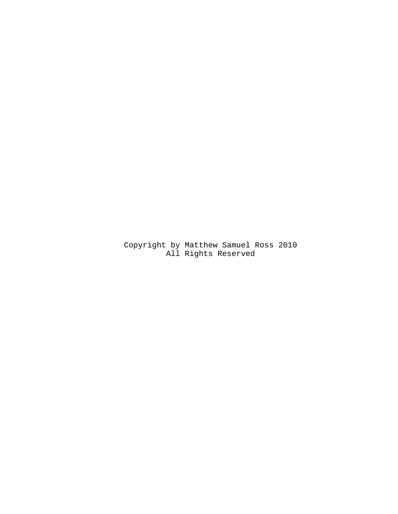Copyright by Matthew Samuel Ross 2010 All Rights Reserved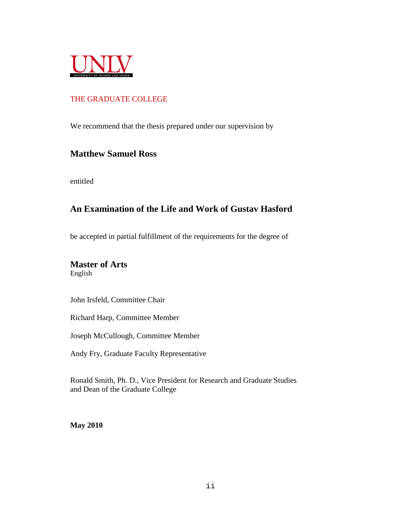

## THE GRADUATE COLLEGE

We recommend that the thesis prepared under our supervision by

# **Matthew Samuel Ross**

entitled

# **An Examination of the Life and Work of Gustav Hasford**

be accepted in partial fulfillment of the requirements for the degree of

# **Master of Arts**

English

John Irsfeld, Committee Chair

Richard Harp, Committee Member

Joseph McCullough, Committee Member

Andy Fry, Graduate Faculty Representative

Ronald Smith, Ph. D., Vice President for Research and Graduate Studies and Dean of the Graduate College

**May 2010**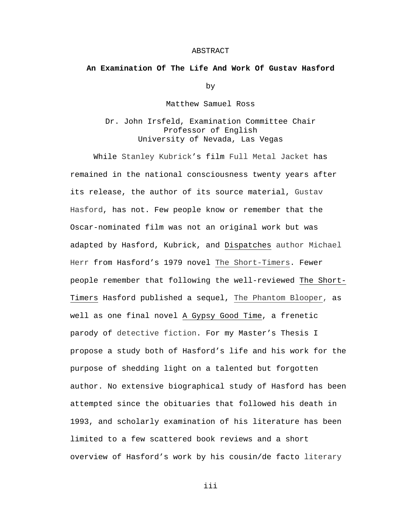#### ABSTRACT

#### **An Examination Of The Life And Work Of Gustav Hasford**

by

Matthew Samuel Ross

Dr. John Irsfeld, Examination Committee Chair Professor of English University of Nevada, Las Vegas

While Stanley Kubrick's film Full Metal Jacket has remained in the national consciousness twenty years after its release, the author of its source material, Gustav Hasford, has not. Few people know or remember that the Oscar-nominated film was not an original work but was adapted by Hasford, Kubrick, and Dispatches author Michael Herr from Hasford's 1979 novel The Short-Timers. Fewer people remember that following the well-reviewed The Short-Timers Hasford published a sequel, The Phantom Blooper, as well as one final novel A Gypsy Good Time, a frenetic parody of detective fiction. For my Master's Thesis I propose a study both of Hasford's life and his work for the purpose of shedding light on a talented but forgotten author. No extensive biographical study of Hasford has been attempted since the obituaries that followed his death in 1993, and scholarly examination of his literature has been limited to a few scattered book reviews and a short overview of Hasford's work by his cousin/de facto literary

iii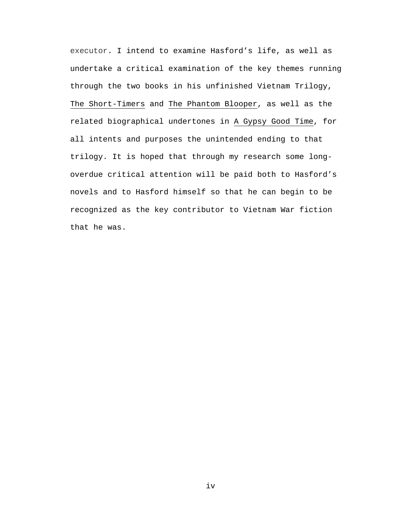executor. I intend to examine Hasford's life, as well as undertake a critical examination of the key themes running through the two books in his unfinished Vietnam Trilogy, The Short-Timers and The Phantom Blooper, as well as the related biographical undertones in A Gypsy Good Time, for all intents and purposes the unintended ending to that trilogy. It is hoped that through my research some longoverdue critical attention will be paid both to Hasford's novels and to Hasford himself so that he can begin to be recognized as the key contributor to Vietnam War fiction that he was.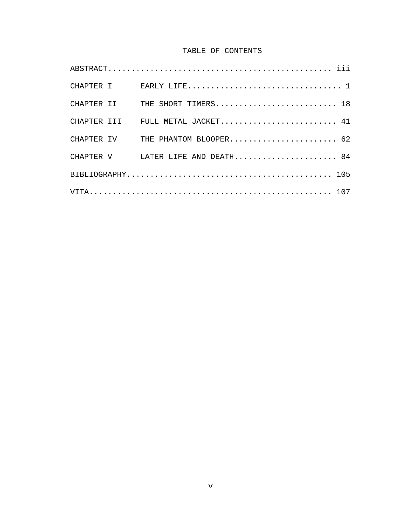## TABLE OF CONTENTS

| CHAPTER II THE SHORT TIMERS 18    |
|-----------------------------------|
| CHAPTER III FULL METAL JACKET 41  |
| CHAPTER IV THE PHANTOM BLOOPER 62 |
| CHAPTER V LATER LIFE AND DEATH 84 |
|                                   |
|                                   |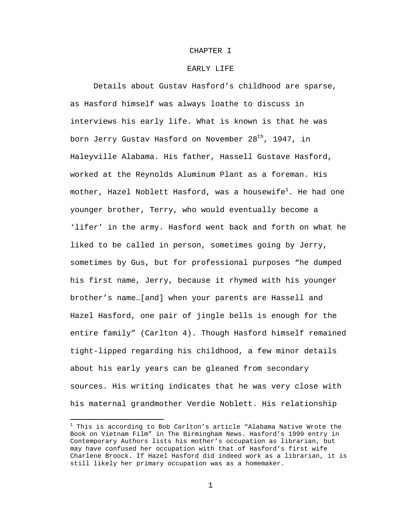#### CHAPTER I

#### EARLY LIFE

Details about Gustav Hasford's childhood are sparse, as Hasford himself was always loathe to discuss in interviews his early life. What is known is that he was born Jerry Gustav Hasford on November 28<sup>th</sup>, 1947, in Haleyville Alabama. His father, Hassell Gustave Hasford, worked at the Reynolds Aluminum Plant as a foreman. His mother, Hazel Noblett Hasford, was a housewife<sup>1</sup>. He had one younger brother, Terry, who would eventually become a 'lifer' in the army. Hasford went back and forth on what he liked to be called in person, sometimes going by Jerry, sometimes by Gus, but for professional purposes "he dumped his first name, Jerry, because it rhymed with his younger brother's name…[and] when your parents are Hassell and Hazel Hasford, one pair of jingle bells is enough for the entire family" (Carlton 4). Though Hasford himself remained tight-lipped regarding his childhood, a few minor details about his early years can be gleaned from secondary sources. His writing indicates that he was very close with his maternal grandmother Verdie Noblett. His relationship

<u>.</u>

 $1$  This is according to Bob Carlton's article "Alabama Native Wrote the Book on Vietnam Film" in The Birmingham News. Hasford's 1999 entry in Contemporary Authors lists his mother's occupation as librarian, but may have confused her occupation with that of Hasford's first wife Charlene Broock. If Hazel Hasford did indeed work as a librarian, it is still likely her primary occupation was as a homemaker.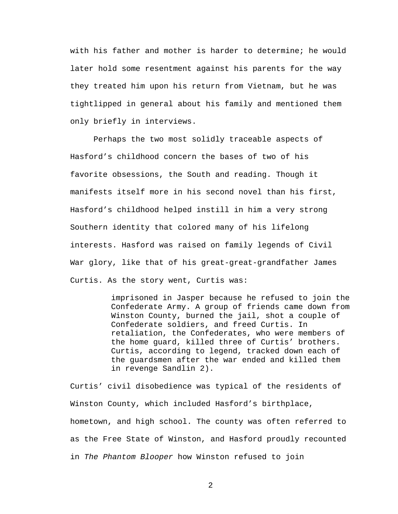with his father and mother is harder to determine; he would later hold some resentment against his parents for the way they treated him upon his return from Vietnam, but he was tightlipped in general about his family and mentioned them only briefly in interviews.

 Perhaps the two most solidly traceable aspects of Hasford's childhood concern the bases of two of his favorite obsessions, the South and reading. Though it manifests itself more in his second novel than his first, Hasford's childhood helped instill in him a very strong Southern identity that colored many of his lifelong interests. Hasford was raised on family legends of Civil War glory, like that of his great-great-grandfather James Curtis. As the story went, Curtis was:

> imprisoned in Jasper because he refused to join the Confederate Army. A group of friends came down from Winston County, burned the jail, shot a couple of Confederate soldiers, and freed Curtis. In retaliation, the Confederates, who were members of the home guard, killed three of Curtis' brothers. Curtis, according to legend, tracked down each of the guardsmen after the war ended and killed them in revenge Sandlin 2).

Curtis' civil disobedience was typical of the residents of Winston County, which included Hasford's birthplace, hometown, and high school. The county was often referred to as the Free State of Winston, and Hasford proudly recounted in The Phantom Blooper how Winston refused to join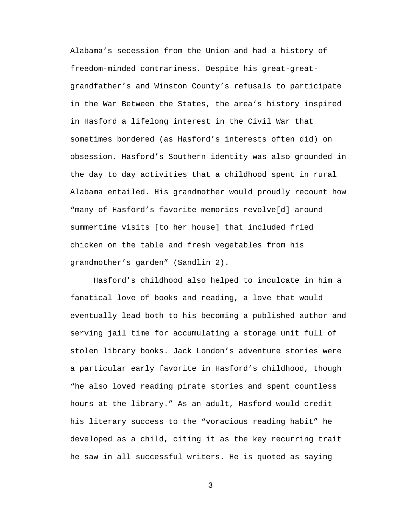Alabama's secession from the Union and had a history of freedom-minded contrariness. Despite his great-greatgrandfather's and Winston County's refusals to participate in the War Between the States, the area's history inspired in Hasford a lifelong interest in the Civil War that sometimes bordered (as Hasford's interests often did) on obsession. Hasford's Southern identity was also grounded in the day to day activities that a childhood spent in rural Alabama entailed. His grandmother would proudly recount how "many of Hasford's favorite memories revolve[d] around summertime visits [to her house] that included fried chicken on the table and fresh vegetables from his grandmother's garden" (Sandlin 2).

 Hasford's childhood also helped to inculcate in him a fanatical love of books and reading, a love that would eventually lead both to his becoming a published author and serving jail time for accumulating a storage unit full of stolen library books. Jack London's adventure stories were a particular early favorite in Hasford's childhood, though "he also loved reading pirate stories and spent countless hours at the library." As an adult, Hasford would credit his literary success to the "voracious reading habit" he developed as a child, citing it as the key recurring trait he saw in all successful writers. He is quoted as saying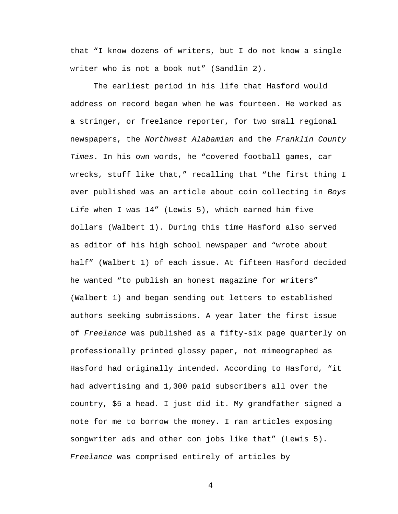that "I know dozens of writers, but I do not know a single writer who is not a book nut" (Sandlin 2).

 The earliest period in his life that Hasford would address on record began when he was fourteen. He worked as a stringer, or freelance reporter, for two small regional newspapers, the Northwest Alabamian and the Franklin County Times. In his own words, he "covered football games, car wrecks, stuff like that," recalling that "the first thing I ever published was an article about coin collecting in Boys Life when I was 14" (Lewis 5), which earned him five dollars (Walbert 1). During this time Hasford also served as editor of his high school newspaper and "wrote about half" (Walbert 1) of each issue. At fifteen Hasford decided he wanted "to publish an honest magazine for writers" (Walbert 1) and began sending out letters to established authors seeking submissions. A year later the first issue of Freelance was published as a fifty-six page quarterly on professionally printed glossy paper, not mimeographed as Hasford had originally intended. According to Hasford, "it had advertising and 1,300 paid subscribers all over the country, \$5 a head. I just did it. My grandfather signed a note for me to borrow the money. I ran articles exposing songwriter ads and other con jobs like that" (Lewis 5). Freelance was comprised entirely of articles by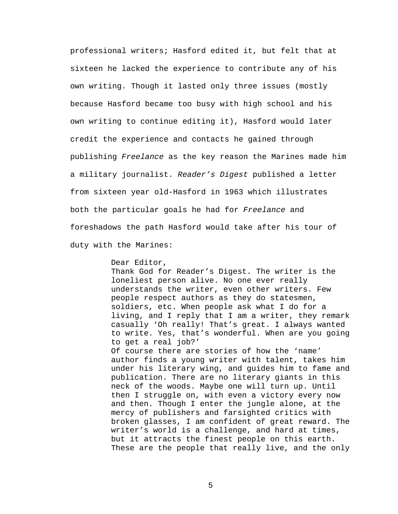professional writers; Hasford edited it, but felt that at sixteen he lacked the experience to contribute any of his own writing. Though it lasted only three issues (mostly because Hasford became too busy with high school and his own writing to continue editing it), Hasford would later credit the experience and contacts he gained through publishing Freelance as the key reason the Marines made him a military journalist. Reader's Digest published a letter from sixteen year old-Hasford in 1963 which illustrates both the particular goals he had for Freelance and foreshadows the path Hasford would take after his tour of duty with the Marines:

> Dear Editor, Thank God for Reader's Digest. The writer is the loneliest person alive. No one ever really understands the writer, even other writers. Few people respect authors as they do statesmen, soldiers, etc. When people ask what I do for a living, and I reply that I am a writer, they remark casually 'Oh really! That's great. I always wanted to write. Yes, that's wonderful. When are you going to get a real job?' Of course there are stories of how the 'name' author finds a young writer with talent, takes him under his literary wing, and guides him to fame and publication. There are no literary giants in this neck of the woods. Maybe one will turn up. Until then I struggle on, with even a victory every now and then. Though I enter the jungle alone, at the mercy of publishers and farsighted critics with broken glasses, I am confident of great reward. The writer's world is a challenge, and hard at times, but it attracts the finest people on this earth. These are the people that really live, and the only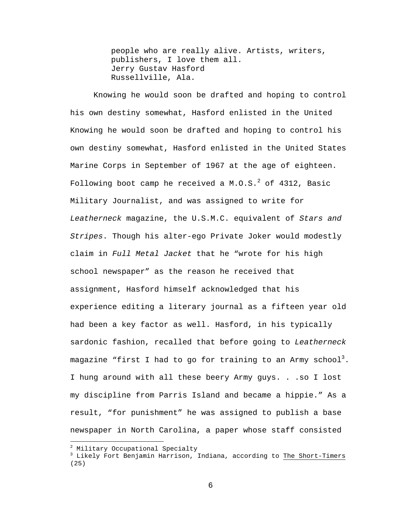people who are really alive. Artists, writers, publishers, I love them all. Jerry Gustav Hasford Russellville, Ala.

Knowing he would soon be drafted and hoping to control his own destiny somewhat, Hasford enlisted in the United Knowing he would soon be drafted and hoping to control his own destiny somewhat, Hasford enlisted in the United States Marine Corps in September of 1967 at the age of eighteen. Following boot camp he received a M.O.S.<sup>2</sup> of 4312, Basic Military Journalist, and was assigned to write for Leatherneck magazine, the U.S.M.C. equivalent of Stars and Stripes. Though his alter-ego Private Joker would modestly claim in Full Metal Jacket that he "wrote for his high school newspaper" as the reason he received that assignment, Hasford himself acknowledged that his experience editing a literary journal as a fifteen year old had been a key factor as well. Hasford, in his typically sardonic fashion, recalled that before going to Leatherneck magazine "first I had to go for training to an Army school<sup>3</sup>. I hung around with all these beery Army guys. . .so I lost my discipline from Parris Island and became a hippie." As a result, "for punishment" he was assigned to publish a base newspaper in North Carolina, a paper whose staff consisted

 $\overline{a}$ 

<sup>2</sup> Military Occupational Specialty

 $3$  Likely Fort Benjamin Harrison, Indiana, according to The Short-Timers (25)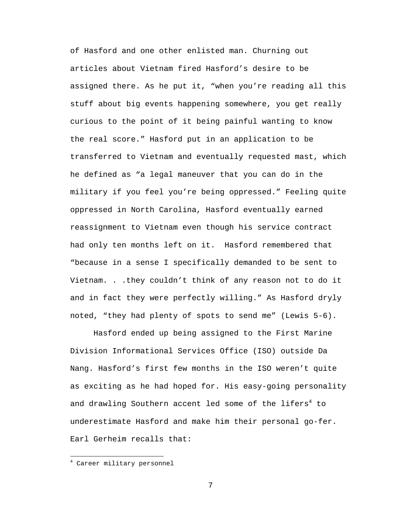of Hasford and one other enlisted man. Churning out articles about Vietnam fired Hasford's desire to be assigned there. As he put it, "when you're reading all this stuff about big events happening somewhere, you get really curious to the point of it being painful wanting to know the real score." Hasford put in an application to be transferred to Vietnam and eventually requested mast, which he defined as "a legal maneuver that you can do in the military if you feel you're being oppressed." Feeling quite oppressed in North Carolina, Hasford eventually earned reassignment to Vietnam even though his service contract had only ten months left on it. Hasford remembered that "because in a sense I specifically demanded to be sent to Vietnam. . .they couldn't think of any reason not to do it and in fact they were perfectly willing." As Hasford dryly noted, "they had plenty of spots to send me" (Lewis 5-6).

Hasford ended up being assigned to the First Marine Division Informational Services Office (ISO) outside Da Nang. Hasford's first few months in the ISO weren't quite as exciting as he had hoped for. His easy-going personality and drawling Southern accent led some of the lifers<sup>4</sup> to underestimate Hasford and make him their personal go-fer. Earl Gerheim recalls that:

<u>.</u>

<sup>4</sup> Career military personnel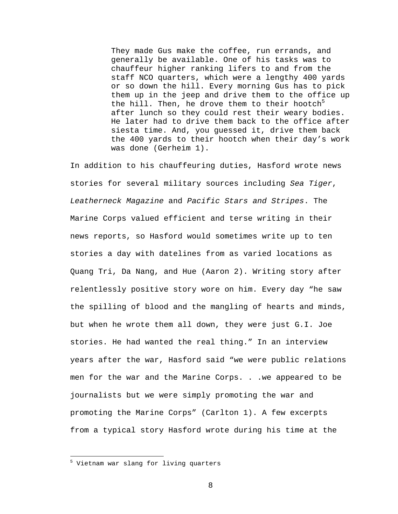They made Gus make the coffee, run errands, and generally be available. One of his tasks was to chauffeur higher ranking lifers to and from the staff NCO quarters, which were a lengthy 400 yards or so down the hill. Every morning Gus has to pick them up in the jeep and drive them to the office up the hill. Then, he drove them to their hootch<sup>5</sup> after lunch so they could rest their weary bodies. He later had to drive them back to the office after siesta time. And, you guessed it, drive them back the 400 yards to their hootch when their day's work was done (Gerheim 1).

In addition to his chauffeuring duties, Hasford wrote news stories for several military sources including Sea Tiger, Leatherneck Magazine and Pacific Stars and Stripes. The Marine Corps valued efficient and terse writing in their news reports, so Hasford would sometimes write up to ten stories a day with datelines from as varied locations as Quang Tri, Da Nang, and Hue (Aaron 2). Writing story after relentlessly positive story wore on him. Every day "he saw the spilling of blood and the mangling of hearts and minds, but when he wrote them all down, they were just G.I. Joe stories. He had wanted the real thing." In an interview years after the war, Hasford said "we were public relations men for the war and the Marine Corps. . .we appeared to be journalists but we were simply promoting the war and promoting the Marine Corps" (Carlton 1). A few excerpts from a typical story Hasford wrote during his time at the

<u>.</u>

<sup>5</sup> Vietnam war slang for living quarters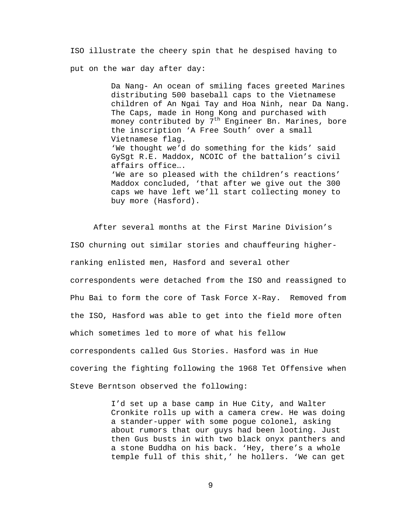ISO illustrate the cheery spin that he despised having to put on the war day after day:

> Da Nang- An ocean of smiling faces greeted Marines distributing 500 baseball caps to the Vietnamese children of An Ngai Tay and Hoa Ninh, near Da Nang. The Caps, made in Hong Kong and purchased with money contributed by  $7<sup>th</sup>$  Engineer Bn. Marines, bore the inscription 'A Free South' over a small Vietnamese flag. 'We thought we'd do something for the kids' said GySgt R.E. Maddox, NCOIC of the battalion's civil affairs office…. 'We are so pleased with the children's reactions' Maddox concluded, 'that after we give out the 300 caps we have left we'll start collecting money to buy more (Hasford).

After several months at the First Marine Division's ISO churning out similar stories and chauffeuring higherranking enlisted men, Hasford and several other correspondents were detached from the ISO and reassigned to Phu Bai to form the core of Task Force X-Ray. Removed from the ISO, Hasford was able to get into the field more often which sometimes led to more of what his fellow correspondents called Gus Stories. Hasford was in Hue covering the fighting following the 1968 Tet Offensive when Steve Berntson observed the following:

> I'd set up a base camp in Hue City, and Walter Cronkite rolls up with a camera crew. He was doing a stander-upper with some pogue colonel, asking about rumors that our guys had been looting. Just then Gus busts in with two black onyx panthers and a stone Buddha on his back. 'Hey, there's a whole temple full of this shit,' he hollers. 'We can get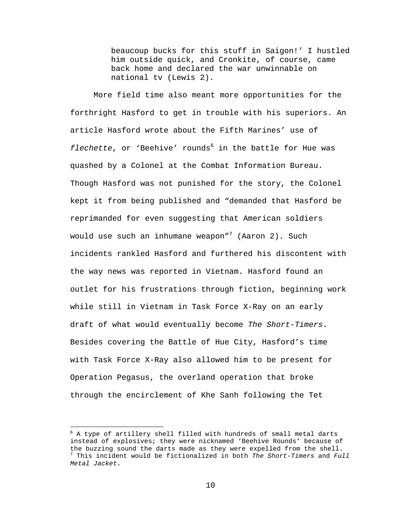beaucoup bucks for this stuff in Saigon!' I hustled him outside quick, and Cronkite, of course, came back home and declared the war unwinnable on national tv (Lewis 2).

 More field time also meant more opportunities for the forthright Hasford to get in trouble with his superiors. An article Hasford wrote about the Fifth Marines' use of flechette, or 'Beehive' rounds $^6$  in the battle for Hue was quashed by a Colonel at the Combat Information Bureau. Though Hasford was not punished for the story, the Colonel kept it from being published and "demanded that Hasford be reprimanded for even suggesting that American soldiers would use such an inhumane weapon"<sup>7</sup> (Aaron 2). Such incidents rankled Hasford and furthered his discontent with the way news was reported in Vietnam. Hasford found an outlet for his frustrations through fiction, beginning work while still in Vietnam in Task Force X-Ray on an early draft of what would eventually become The Short-Timers. Besides covering the Battle of Hue City, Hasford's time with Task Force X-Ray also allowed him to be present for Operation Pegasus, the overland operation that broke through the encirclement of Khe Sanh following the Tet

-

 $6$  A type of artillery shell filled with hundreds of small metal darts instead of explosives; they were nicknamed 'Beehive Rounds' because of the buzzing sound the darts made as they were expelled from the shell.  $^7$  This incident would be fictionalized in both The Short-Timers and Full Metal Jacket.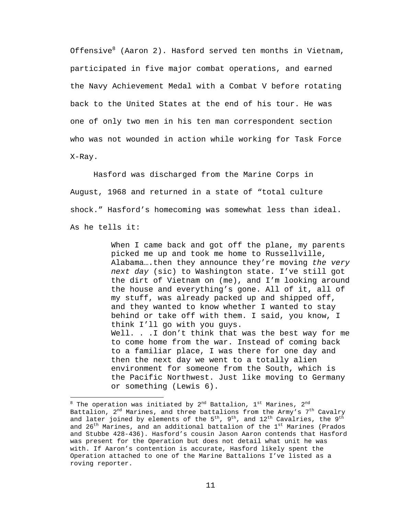Offensive<sup>8</sup> (Aaron 2). Hasford served ten months in Vietnam, participated in five major combat operations, and earned the Navy Achievement Medal with a Combat V before rotating back to the United States at the end of his tour. He was one of only two men in his ten man correspondent section who was not wounded in action while working for Task Force X-Ray.

Hasford was discharged from the Marine Corps in August, 1968 and returned in a state of "total culture shock." Hasford's homecoming was somewhat less than ideal. As he tells it:

> When I came back and got off the plane, my parents picked me up and took me home to Russellville, Alabama.... then they announce they're moving the very next day (sic) to Washington state. I've still got the dirt of Vietnam on (me), and I'm looking around the house and everything's gone. All of it, all of my stuff, was already packed up and shipped off, and they wanted to know whether I wanted to stay behind or take off with them. I said, you know, I think I'll go with you guys. Well. . .I don't think that was the best way for me to come home from the war. Instead of coming back to a familiar place, I was there for one day and then the next day we went to a totally alien environment for someone from the South, which is the Pacific Northwest. Just like moving to Germany or something (Lewis 6).

 $\overline{a}$ 

 $8$  The operation was initiated by 2<sup>nd</sup> Battalion, 1<sup>st</sup> Marines, 2<sup>nd</sup> Battalion,  $2<sup>nd</sup>$  Marines, and three battalions from the Army's  $7<sup>th</sup>$  Cavalry and later joined by elements of the  $5<sup>th</sup>$ ,  $9<sup>th</sup>$ , and  $12<sup>th</sup>$  Cavalries, the  $9<sup>th</sup>$ and  $26^{th}$  Marines, and an additional battalion of the  $1^{st}$  Marines (Prados and Stubbe 428-436). Hasford's cousin Jason Aaron contends that Hasford was present for the Operation but does not detail what unit he was with. If Aaron's contention is accurate, Hasford likely spent the Operation attached to one of the Marine Battalions I've listed as a roving reporter.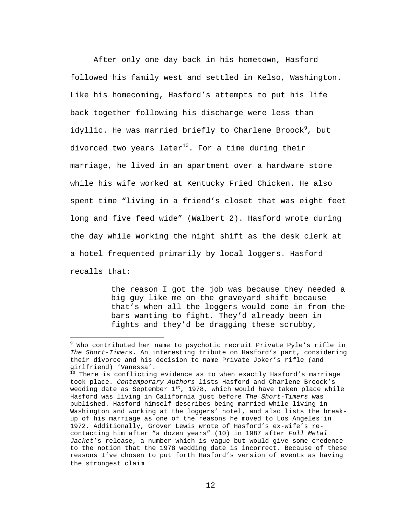After only one day back in his hometown, Hasford followed his family west and settled in Kelso, Washington. Like his homecoming, Hasford's attempts to put his life back together following his discharge were less than idyllic. He was married briefly to Charlene Broock<sup>9</sup>, but divorced two years later<sup>10</sup>. For a time during their marriage, he lived in an apartment over a hardware store while his wife worked at Kentucky Fried Chicken. He also spent time "living in a friend's closet that was eight feet long and five feed wide" (Walbert 2). Hasford wrote during the day while working the night shift as the desk clerk at a hotel frequented primarily by local loggers. Hasford recalls that:

> the reason I got the job was because they needed a big guy like me on the graveyard shift because that's when all the loggers would come in from the bars wanting to fight. They'd already been in fights and they'd be dragging these scrubby,

 $\overline{a}$ 

<sup>9</sup> Who contributed her name to psychotic recruit Private Pyle's rifle in The Short-Timers. An interesting tribute on Hasford's part, considering their divorce and his decision to name Private Joker's rifle (and girlfriend) 'Vanessa'.

 $10$  There is conflicting evidence as to when exactly Hasford's marriage took place. Contemporary Authors lists Hasford and Charlene Broock's wedding date as September  $1^{st}$ , 1978, which would have taken place while Hasford was living in California just before The Short-Timers was published. Hasford himself describes being married while living in Washington and working at the loggers' hotel, and also lists the breakup of his marriage as one of the reasons he moved to Los Angeles in 1972. Additionally, Grover Lewis wrote of Hasford's ex-wife's recontacting him after "a dozen years" (10) in 1987 after Full Metal Jacket's release, a number which is vague but would give some credence to the notion that the 1978 wedding date is incorrect. Because of these reasons I've chosen to put forth Hasford's version of events as having the strongest claim.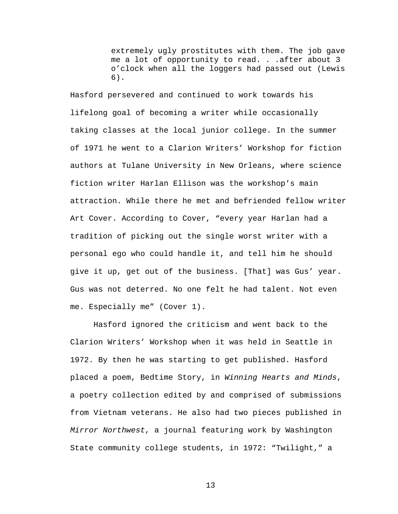extremely ugly prostitutes with them. The job gave me a lot of opportunity to read. . . after about 3 o'clock when all the loggers had passed out (Lewis 6).

Hasford persevered and continued to work towards his lifelong goal of becoming a writer while occasionally taking classes at the local junior college. In the summer of 1971 he went to a Clarion Writers' Workshop for fiction authors at Tulane University in New Orleans, where science fiction writer Harlan Ellison was the workshop's main attraction. While there he met and befriended fellow writer Art Cover. According to Cover, "every year Harlan had a tradition of picking out the single worst writer with a personal ego who could handle it, and tell him he should give it up, get out of the business. [That] was Gus' year. Gus was not deterred. No one felt he had talent. Not even me. Especially me" (Cover 1).

 Hasford ignored the criticism and went back to the Clarion Writers' Workshop when it was held in Seattle in 1972. By then he was starting to get published. Hasford placed a poem, Bedtime Story, in Winning Hearts and Minds, a poetry collection edited by and comprised of submissions from Vietnam veterans. He also had two pieces published in Mirror Northwest, a journal featuring work by Washington State community college students, in 1972: "Twilight," a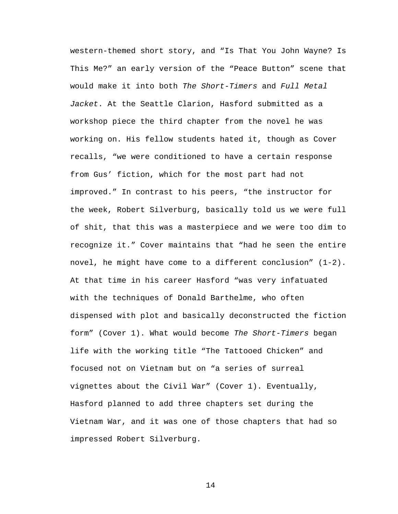western-themed short story, and "Is That You John Wayne? Is This Me?" an early version of the "Peace Button" scene that would make it into both The Short-Timers and Full Metal Jacket. At the Seattle Clarion, Hasford submitted as a workshop piece the third chapter from the novel he was working on. His fellow students hated it, though as Cover recalls, "we were conditioned to have a certain response from Gus' fiction, which for the most part had not improved." In contrast to his peers, "the instructor for the week, Robert Silverburg, basically told us we were full of shit, that this was a masterpiece and we were too dim to recognize it." Cover maintains that "had he seen the entire novel, he might have come to a different conclusion" (1-2). At that time in his career Hasford "was very infatuated with the techniques of Donald Barthelme, who often dispensed with plot and basically deconstructed the fiction form" (Cover 1). What would become The Short-Timers began life with the working title "The Tattooed Chicken" and focused not on Vietnam but on "a series of surreal vignettes about the Civil War" (Cover 1). Eventually, Hasford planned to add three chapters set during the Vietnam War, and it was one of those chapters that had so impressed Robert Silverburg.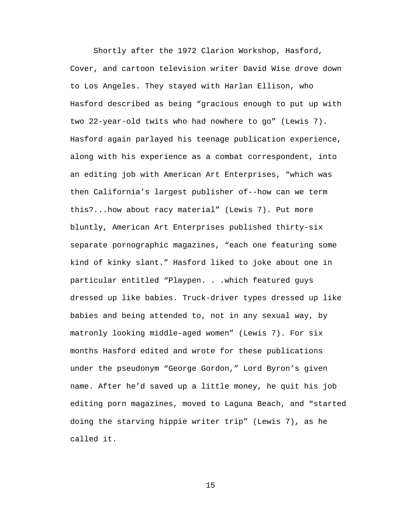Shortly after the 1972 Clarion Workshop, Hasford, Cover, and cartoon television writer David Wise drove down to Los Angeles. They stayed with Harlan Ellison, who Hasford described as being "gracious enough to put up with two 22-year-old twits who had nowhere to go" (Lewis 7). Hasford again parlayed his teenage publication experience, along with his experience as a combat correspondent, into an editing job with American Art Enterprises, "which was then California's largest publisher of--how can we term this?...how about racy material" (Lewis 7). Put more bluntly, American Art Enterprises published thirty-six separate pornographic magazines, "each one featuring some kind of kinky slant." Hasford liked to joke about one in particular entitled "Playpen. . .which featured guys dressed up like babies. Truck-driver types dressed up like babies and being attended to, not in any sexual way, by matronly looking middle-aged women" (Lewis 7). For six months Hasford edited and wrote for these publications under the pseudonym "George Gordon," Lord Byron's given name. After he'd saved up a little money, he quit his job editing porn magazines, moved to Laguna Beach, and "started doing the starving hippie writer trip" (Lewis 7), as he called it.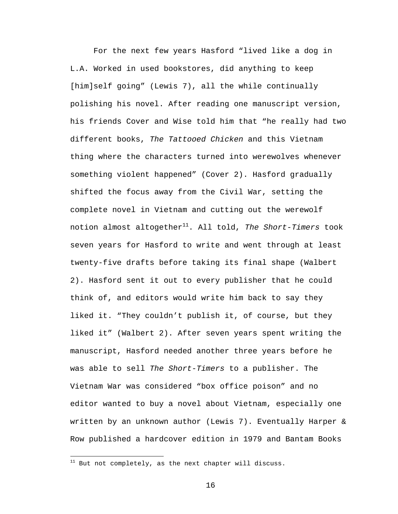For the next few years Hasford "lived like a dog in L.A. Worked in used bookstores, did anything to keep [him]self going" (Lewis 7), all the while continually polishing his novel. After reading one manuscript version, his friends Cover and Wise told him that "he really had two different books, The Tattooed Chicken and this Vietnam thing where the characters turned into werewolves whenever something violent happened" (Cover 2). Hasford gradually shifted the focus away from the Civil War, setting the complete novel in Vietnam and cutting out the werewolf notion almost altogether<sup>11</sup>. All told, The Short-Timers took seven years for Hasford to write and went through at least twenty-five drafts before taking its final shape (Walbert 2). Hasford sent it out to every publisher that he could think of, and editors would write him back to say they liked it. "They couldn't publish it, of course, but they liked it" (Walbert 2). After seven years spent writing the manuscript, Hasford needed another three years before he was able to sell The Short-Timers to a publisher. The Vietnam War was considered "box office poison" and no editor wanted to buy a novel about Vietnam, especially one written by an unknown author (Lewis 7). Eventually Harper & Row published a hardcover edition in 1979 and Bantam Books

<u>.</u>

 $11$  But not completely, as the next chapter will discuss.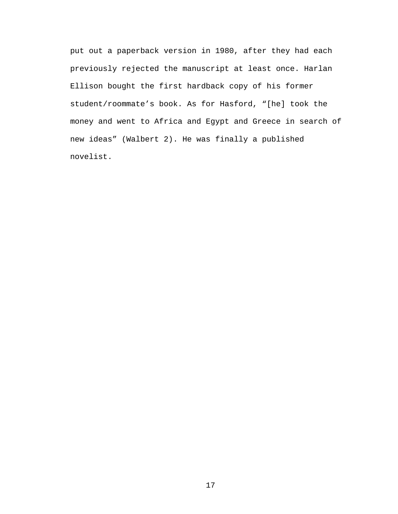put out a paperback version in 1980, after they had each previously rejected the manuscript at least once. Harlan Ellison bought the first hardback copy of his former student/roommate's book. As for Hasford, "[he] took the money and went to Africa and Egypt and Greece in search of new ideas" (Walbert 2). He was finally a published novelist.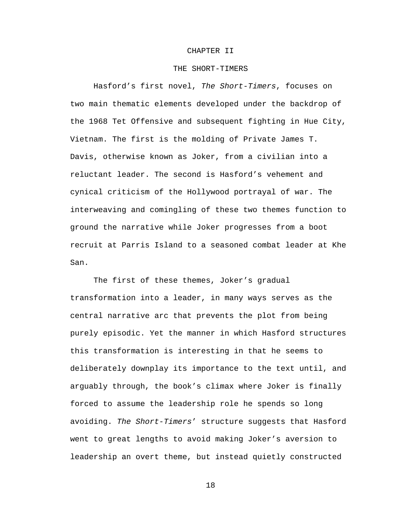#### CHAPTER II

#### THE SHORT-TIMERS

Hasford's first novel, The Short-Timers, focuses on two main thematic elements developed under the backdrop of the 1968 Tet Offensive and subsequent fighting in Hue City, Vietnam. The first is the molding of Private James T. Davis, otherwise known as Joker, from a civilian into a reluctant leader. The second is Hasford's vehement and cynical criticism of the Hollywood portrayal of war. The interweaving and comingling of these two themes function to ground the narrative while Joker progresses from a boot recruit at Parris Island to a seasoned combat leader at Khe San.

 The first of these themes, Joker's gradual transformation into a leader, in many ways serves as the central narrative arc that prevents the plot from being purely episodic. Yet the manner in which Hasford structures this transformation is interesting in that he seems to deliberately downplay its importance to the text until, and arguably through, the book's climax where Joker is finally forced to assume the leadership role he spends so long avoiding. The Short-Timers' structure suggests that Hasford went to great lengths to avoid making Joker's aversion to leadership an overt theme, but instead quietly constructed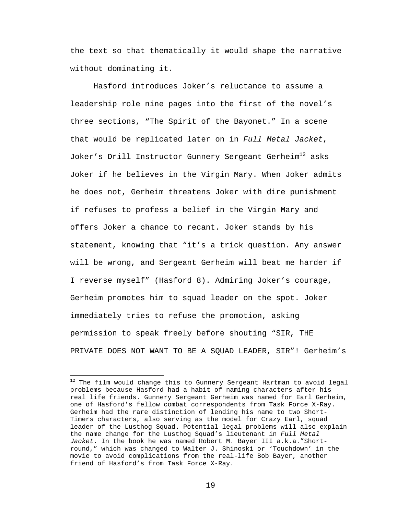the text so that thematically it would shape the narrative without dominating it.

 Hasford introduces Joker's reluctance to assume a leadership role nine pages into the first of the novel's three sections, "The Spirit of the Bayonet." In a scene that would be replicated later on in Full Metal Jacket, Joker's Drill Instructor Gunnery Sergeant Gerheim<sup>12</sup> asks Joker if he believes in the Virgin Mary. When Joker admits he does not, Gerheim threatens Joker with dire punishment if refuses to profess a belief in the Virgin Mary and offers Joker a chance to recant. Joker stands by his statement, knowing that "it's a trick question. Any answer will be wrong, and Sergeant Gerheim will beat me harder if I reverse myself" (Hasford 8). Admiring Joker's courage, Gerheim promotes him to squad leader on the spot. Joker immediately tries to refuse the promotion, asking permission to speak freely before shouting "SIR, THE PRIVATE DOES NOT WANT TO BE A SQUAD LEADER, SIR"! Gerheim's

<u>.</u>

<sup>&</sup>lt;sup>12</sup> The film would change this to Gunnery Sergeant Hartman to avoid legal problems because Hasford had a habit of naming characters after his real life friends. Gunnery Sergeant Gerheim was named for Earl Gerheim, one of Hasford's fellow combat correspondents from Task Force X-Ray. Gerheim had the rare distinction of lending his name to two Short-Timers characters, also serving as the model for Crazy Earl, squad leader of the Lusthog Squad. Potential legal problems will also explain the name change for the Lusthog Squad's lieutenant in Full Metal Jacket. In the book he was named Robert M. Bayer III a.k.a."Shortround," which was changed to Walter J. Shinoski or 'Touchdown' in the movie to avoid complications from the real-life Bob Bayer, another friend of Hasford's from Task Force X-Ray.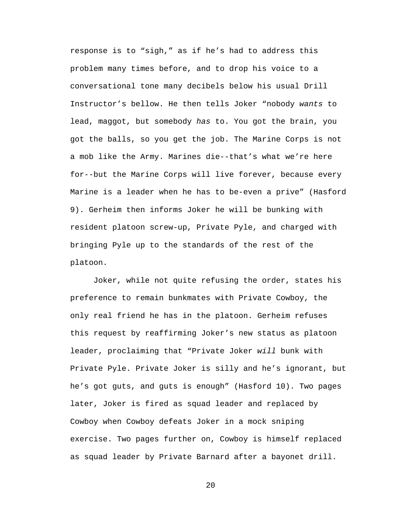response is to "sigh," as if he's had to address this problem many times before, and to drop his voice to a conversational tone many decibels below his usual Drill Instructor's bellow. He then tells Joker "nobody wants to lead, maggot, but somebody has to. You got the brain, you got the balls, so you get the job. The Marine Corps is not a mob like the Army. Marines die--that's what we're here for--but the Marine Corps will live forever, because every Marine is a leader when he has to be-even a prive" (Hasford 9). Gerheim then informs Joker he will be bunking with resident platoon screw-up, Private Pyle, and charged with bringing Pyle up to the standards of the rest of the platoon.

Joker, while not quite refusing the order, states his preference to remain bunkmates with Private Cowboy, the only real friend he has in the platoon. Gerheim refuses this request by reaffirming Joker's new status as platoon leader, proclaiming that "Private Joker will bunk with Private Pyle. Private Joker is silly and he's ignorant, but he's got guts, and guts is enough" (Hasford 10). Two pages later, Joker is fired as squad leader and replaced by Cowboy when Cowboy defeats Joker in a mock sniping exercise. Two pages further on, Cowboy is himself replaced as squad leader by Private Barnard after a bayonet drill.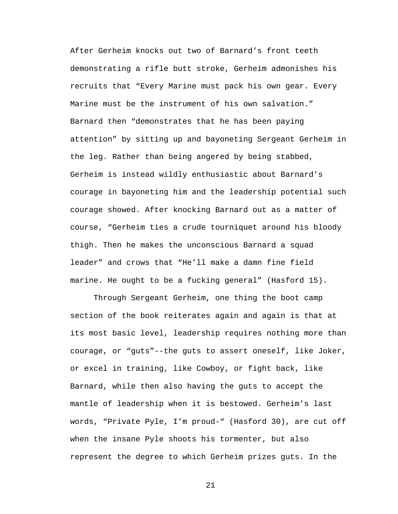After Gerheim knocks out two of Barnard's front teeth demonstrating a rifle butt stroke, Gerheim admonishes his recruits that "Every Marine must pack his own gear. Every Marine must be the instrument of his own salvation." Barnard then "demonstrates that he has been paying attention" by sitting up and bayoneting Sergeant Gerheim in the leg. Rather than being angered by being stabbed, Gerheim is instead wildly enthusiastic about Barnard's courage in bayoneting him and the leadership potential such courage showed. After knocking Barnard out as a matter of course, "Gerheim ties a crude tourniquet around his bloody thigh. Then he makes the unconscious Barnard a squad leader" and crows that "He'll make a damn fine field marine. He ought to be a fucking general" (Hasford 15).

Through Sergeant Gerheim, one thing the boot camp section of the book reiterates again and again is that at its most basic level, leadership requires nothing more than courage, or "guts"--the guts to assert oneself, like Joker, or excel in training, like Cowboy, or fight back, like Barnard, while then also having the guts to accept the mantle of leadership when it is bestowed. Gerheim's last words, "Private Pyle, I'm proud-" (Hasford 30), are cut off when the insane Pyle shoots his tormenter, but also represent the degree to which Gerheim prizes guts. In the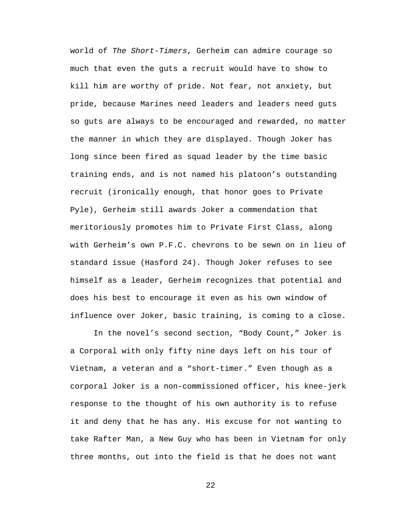world of The Short-Timers, Gerheim can admire courage so much that even the guts a recruit would have to show to kill him are worthy of pride. Not fear, not anxiety, but pride, because Marines need leaders and leaders need guts so guts are always to be encouraged and rewarded, no matter the manner in which they are displayed. Though Joker has long since been fired as squad leader by the time basic training ends, and is not named his platoon's outstanding recruit (ironically enough, that honor goes to Private Pyle), Gerheim still awards Joker a commendation that meritoriously promotes him to Private First Class, along with Gerheim's own P.F.C. chevrons to be sewn on in lieu of standard issue (Hasford 24). Though Joker refuses to see himself as a leader, Gerheim recognizes that potential and does his best to encourage it even as his own window of influence over Joker, basic training, is coming to a close.

 In the novel's second section, "Body Count," Joker is a Corporal with only fifty nine days left on his tour of Vietnam, a veteran and a "short-timer." Even though as a corporal Joker is a non-commissioned officer, his knee-jerk response to the thought of his own authority is to refuse it and deny that he has any. His excuse for not wanting to take Rafter Man, a New Guy who has been in Vietnam for only three months, out into the field is that he does not want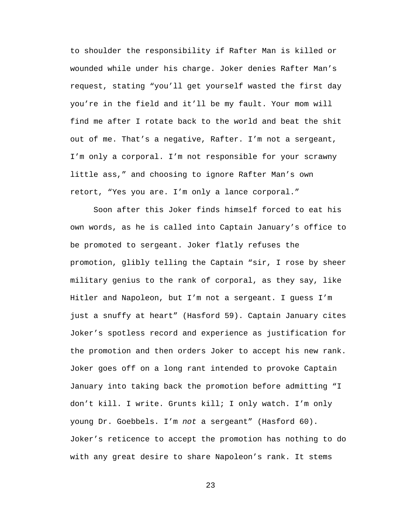to shoulder the responsibility if Rafter Man is killed or wounded while under his charge. Joker denies Rafter Man's request, stating "you'll get yourself wasted the first day you're in the field and it'll be my fault. Your mom will find me after I rotate back to the world and beat the shit out of me. That's a negative, Rafter. I'm not a sergeant, I'm only a corporal. I'm not responsible for your scrawny little ass," and choosing to ignore Rafter Man's own retort, "Yes you are. I'm only a lance corporal."

 Soon after this Joker finds himself forced to eat his own words, as he is called into Captain January's office to be promoted to sergeant. Joker flatly refuses the promotion, glibly telling the Captain "sir, I rose by sheer military genius to the rank of corporal, as they say, like Hitler and Napoleon, but I'm not a sergeant. I guess I'm just a snuffy at heart" (Hasford 59). Captain January cites Joker's spotless record and experience as justification for the promotion and then orders Joker to accept his new rank. Joker goes off on a long rant intended to provoke Captain January into taking back the promotion before admitting "I don't kill. I write. Grunts kill; I only watch. I'm only young Dr. Goebbels. I'm not a sergeant" (Hasford 60). Joker's reticence to accept the promotion has nothing to do with any great desire to share Napoleon's rank. It stems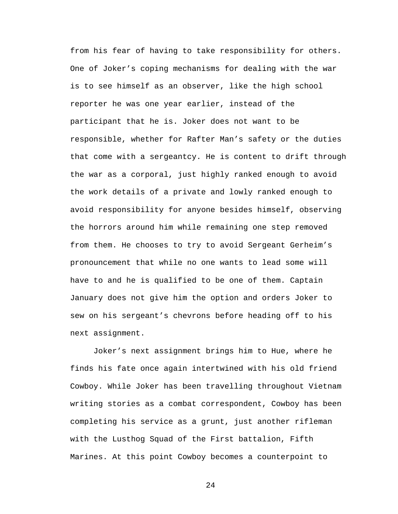from his fear of having to take responsibility for others. One of Joker's coping mechanisms for dealing with the war is to see himself as an observer, like the high school reporter he was one year earlier, instead of the participant that he is. Joker does not want to be responsible, whether for Rafter Man's safety or the duties that come with a sergeantcy. He is content to drift through the war as a corporal, just highly ranked enough to avoid the work details of a private and lowly ranked enough to avoid responsibility for anyone besides himself, observing the horrors around him while remaining one step removed from them. He chooses to try to avoid Sergeant Gerheim's pronouncement that while no one wants to lead some will have to and he is qualified to be one of them. Captain January does not give him the option and orders Joker to sew on his sergeant's chevrons before heading off to his next assignment.

 Joker's next assignment brings him to Hue, where he finds his fate once again intertwined with his old friend Cowboy. While Joker has been travelling throughout Vietnam writing stories as a combat correspondent, Cowboy has been completing his service as a grunt, just another rifleman with the Lusthog Squad of the First battalion, Fifth Marines. At this point Cowboy becomes a counterpoint to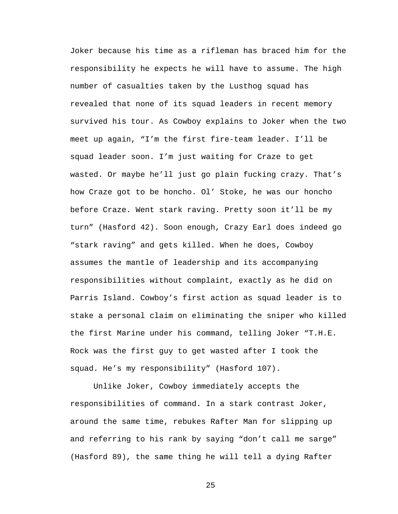Joker because his time as a rifleman has braced him for the responsibility he expects he will have to assume. The high number of casualties taken by the Lusthog squad has revealed that none of its squad leaders in recent memory survived his tour. As Cowboy explains to Joker when the two meet up again, "I'm the first fire-team leader. I'll be squad leader soon. I'm just waiting for Craze to get wasted. Or maybe he'll just go plain fucking crazy. That's how Craze got to be honcho. Ol' Stoke, he was our honcho before Craze. Went stark raving. Pretty soon it'll be my turn" (Hasford 42). Soon enough, Crazy Earl does indeed go "stark raving" and gets killed. When he does, Cowboy assumes the mantle of leadership and its accompanying responsibilities without complaint, exactly as he did on Parris Island. Cowboy's first action as squad leader is to stake a personal claim on eliminating the sniper who killed the first Marine under his command, telling Joker "T.H.E. Rock was the first guy to get wasted after I took the squad. He's my responsibility" (Hasford 107).

Unlike Joker, Cowboy immediately accepts the responsibilities of command. In a stark contrast Joker, around the same time, rebukes Rafter Man for slipping up and referring to his rank by saying "don't call me sarge" (Hasford 89), the same thing he will tell a dying Rafter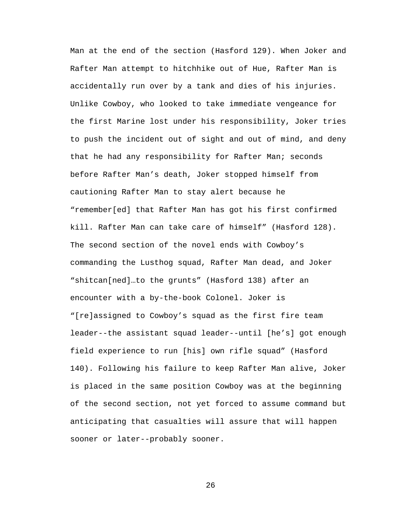Man at the end of the section (Hasford 129). When Joker and Rafter Man attempt to hitchhike out of Hue, Rafter Man is accidentally run over by a tank and dies of his injuries. Unlike Cowboy, who looked to take immediate vengeance for the first Marine lost under his responsibility, Joker tries to push the incident out of sight and out of mind, and deny that he had any responsibility for Rafter Man; seconds before Rafter Man's death, Joker stopped himself from cautioning Rafter Man to stay alert because he "remember[ed] that Rafter Man has got his first confirmed kill. Rafter Man can take care of himself" (Hasford 128). The second section of the novel ends with Cowboy's commanding the Lusthog squad, Rafter Man dead, and Joker "shitcan[ned]…to the grunts" (Hasford 138) after an encounter with a by-the-book Colonel. Joker is "[re]assigned to Cowboy's squad as the first fire team leader--the assistant squad leader--until [he's] got enough field experience to run [his] own rifle squad" (Hasford 140). Following his failure to keep Rafter Man alive, Joker is placed in the same position Cowboy was at the beginning of the second section, not yet forced to assume command but anticipating that casualties will assure that will happen sooner or later--probably sooner.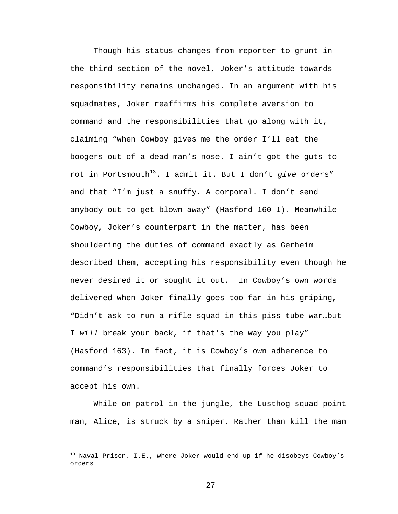Though his status changes from reporter to grunt in the third section of the novel, Joker's attitude towards responsibility remains unchanged. In an argument with his squadmates, Joker reaffirms his complete aversion to command and the responsibilities that go along with it, claiming "when Cowboy gives me the order I'll eat the boogers out of a dead man's nose. I ain't got the guts to rot in Portsmouth<sup>13</sup>. I admit it. But I don't give orders" and that "I'm just a snuffy. A corporal. I don't send anybody out to get blown away" (Hasford 160-1). Meanwhile Cowboy, Joker's counterpart in the matter, has been shouldering the duties of command exactly as Gerheim described them, accepting his responsibility even though he never desired it or sought it out. In Cowboy's own words delivered when Joker finally goes too far in his griping, "Didn't ask to run a rifle squad in this piss tube war…but I will break your back, if that's the way you play" (Hasford 163). In fact, it is Cowboy's own adherence to command's responsibilities that finally forces Joker to accept his own.

While on patrol in the jungle, the Lusthog squad point man, Alice, is struck by a sniper. Rather than kill the man

<u>.</u>

<sup>&</sup>lt;sup>13</sup> Naval Prison. I.E., where Joker would end up if he disobeys Cowboy's orders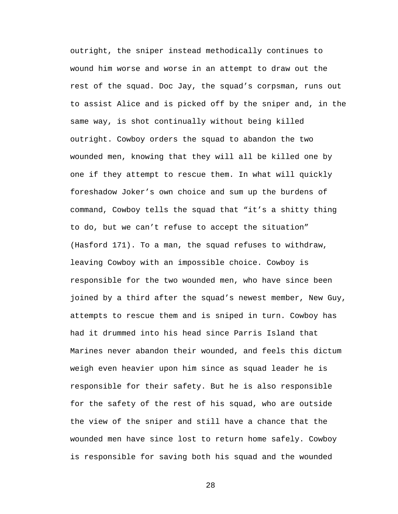outright, the sniper instead methodically continues to wound him worse and worse in an attempt to draw out the rest of the squad. Doc Jay, the squad's corpsman, runs out to assist Alice and is picked off by the sniper and, in the same way, is shot continually without being killed outright. Cowboy orders the squad to abandon the two wounded men, knowing that they will all be killed one by one if they attempt to rescue them. In what will quickly foreshadow Joker's own choice and sum up the burdens of command, Cowboy tells the squad that "it's a shitty thing to do, but we can't refuse to accept the situation" (Hasford 171). To a man, the squad refuses to withdraw, leaving Cowboy with an impossible choice. Cowboy is responsible for the two wounded men, who have since been joined by a third after the squad's newest member, New Guy, attempts to rescue them and is sniped in turn. Cowboy has had it drummed into his head since Parris Island that Marines never abandon their wounded, and feels this dictum weigh even heavier upon him since as squad leader he is responsible for their safety. But he is also responsible for the safety of the rest of his squad, who are outside the view of the sniper and still have a chance that the wounded men have since lost to return home safely. Cowboy is responsible for saving both his squad and the wounded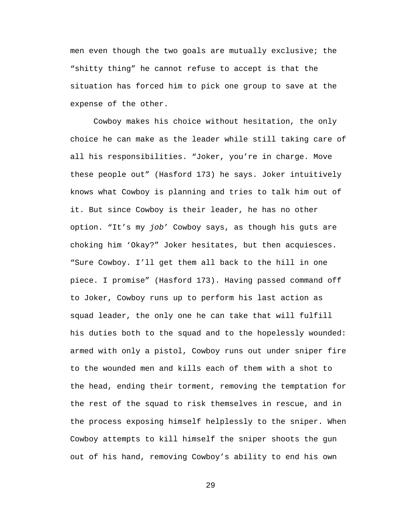men even though the two goals are mutually exclusive; the "shitty thing" he cannot refuse to accept is that the situation has forced him to pick one group to save at the expense of the other.

 Cowboy makes his choice without hesitation, the only choice he can make as the leader while still taking care of all his responsibilities. "Joker, you're in charge. Move these people out" (Hasford 173) he says. Joker intuitively knows what Cowboy is planning and tries to talk him out of it. But since Cowboy is their leader, he has no other option. "It's my job' Cowboy says, as though his guts are choking him 'Okay?" Joker hesitates, but then acquiesces. "Sure Cowboy. I'll get them all back to the hill in one piece. I promise" (Hasford 173). Having passed command off to Joker, Cowboy runs up to perform his last action as squad leader, the only one he can take that will fulfill his duties both to the squad and to the hopelessly wounded: armed with only a pistol, Cowboy runs out under sniper fire to the wounded men and kills each of them with a shot to the head, ending their torment, removing the temptation for the rest of the squad to risk themselves in rescue, and in the process exposing himself helplessly to the sniper. When Cowboy attempts to kill himself the sniper shoots the gun out of his hand, removing Cowboy's ability to end his own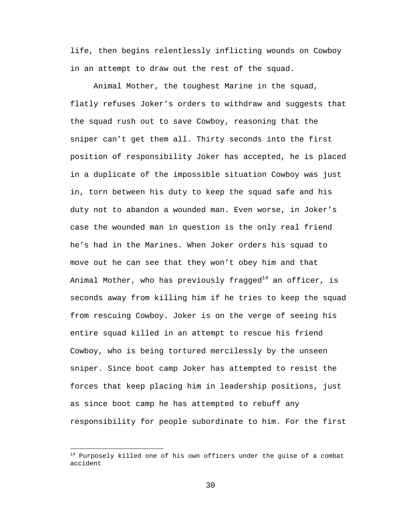life, then begins relentlessly inflicting wounds on Cowboy in an attempt to draw out the rest of the squad.

Animal Mother, the toughest Marine in the squad, flatly refuses Joker's orders to withdraw and suggests that the squad rush out to save Cowboy, reasoning that the sniper can't get them all. Thirty seconds into the first position of responsibility Joker has accepted, he is placed in a duplicate of the impossible situation Cowboy was just in, torn between his duty to keep the squad safe and his duty not to abandon a wounded man. Even worse, in Joker's case the wounded man in question is the only real friend he's had in the Marines. When Joker orders his squad to move out he can see that they won't obey him and that Animal Mother, who has previously fragged<sup>14</sup> an officer, is seconds away from killing him if he tries to keep the squad from rescuing Cowboy. Joker is on the verge of seeing his entire squad killed in an attempt to rescue his friend Cowboy, who is being tortured mercilessly by the unseen sniper. Since boot camp Joker has attempted to resist the forces that keep placing him in leadership positions, just as since boot camp he has attempted to rebuff any responsibility for people subordinate to him. For the first

<u>.</u>

 $14$  Purposely killed one of his own officers under the guise of a combat accident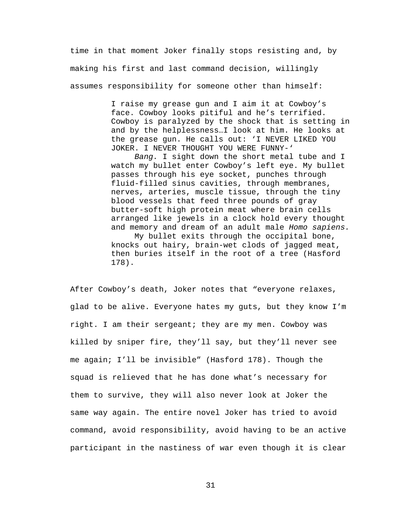time in that moment Joker finally stops resisting and, by making his first and last command decision, willingly assumes responsibility for someone other than himself:

> I raise my grease gun and I aim it at Cowboy's face. Cowboy looks pitiful and he's terrified. Cowboy is paralyzed by the shock that is setting in and by the helplessness…I look at him. He looks at the grease gun. He calls out: 'I NEVER LIKED YOU JOKER. I NEVER THOUGHT YOU WERE FUNNY-'

> Bang. I sight down the short metal tube and I watch my bullet enter Cowboy's left eye. My bullet passes through his eye socket, punches through fluid-filled sinus cavities, through membranes, nerves, arteries, muscle tissue, through the tiny blood vessels that feed three pounds of gray butter-soft high protein meat where brain cells arranged like jewels in a clock hold every thought and memory and dream of an adult male Homo sapiens. My bullet exits through the occipital bone, knocks out hairy, brain-wet clods of jagged meat, then buries itself in the root of a tree (Hasford 178).

After Cowboy's death, Joker notes that "everyone relaxes, glad to be alive. Everyone hates my guts, but they know I'm right. I am their sergeant; they are my men. Cowboy was killed by sniper fire, they'll say, but they'll never see me again; I'll be invisible" (Hasford 178). Though the squad is relieved that he has done what's necessary for them to survive, they will also never look at Joker the same way again. The entire novel Joker has tried to avoid command, avoid responsibility, avoid having to be an active participant in the nastiness of war even though it is clear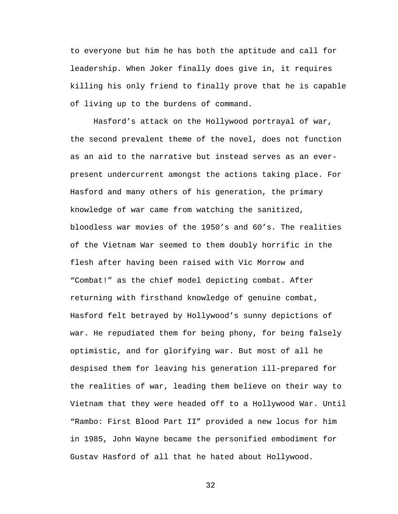to everyone but him he has both the aptitude and call for leadership. When Joker finally does give in, it requires killing his only friend to finally prove that he is capable of living up to the burdens of command.

 Hasford's attack on the Hollywood portrayal of war, the second prevalent theme of the novel, does not function as an aid to the narrative but instead serves as an everpresent undercurrent amongst the actions taking place. For Hasford and many others of his generation, the primary knowledge of war came from watching the sanitized, bloodless war movies of the 1950's and 60's. The realities of the Vietnam War seemed to them doubly horrific in the flesh after having been raised with Vic Morrow and "Combat!" as the chief model depicting combat. After returning with firsthand knowledge of genuine combat, Hasford felt betrayed by Hollywood's sunny depictions of war. He repudiated them for being phony, for being falsely optimistic, and for glorifying war. But most of all he despised them for leaving his generation ill-prepared for the realities of war, leading them believe on their way to Vietnam that they were headed off to a Hollywood War. Until "Rambo: First Blood Part II" provided a new locus for him in 1985, John Wayne became the personified embodiment for Gustav Hasford of all that he hated about Hollywood.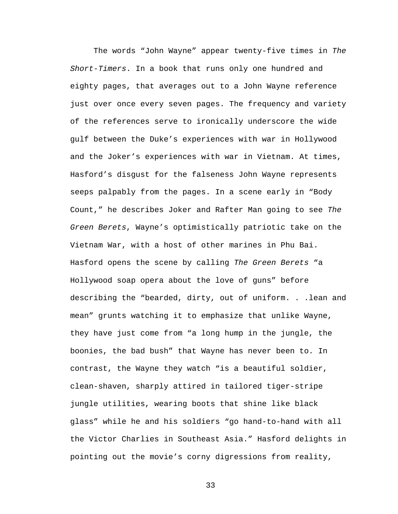The words "John Wayne" appear twenty-five times in The Short-Timers. In a book that runs only one hundred and eighty pages, that averages out to a John Wayne reference just over once every seven pages. The frequency and variety of the references serve to ironically underscore the wide gulf between the Duke's experiences with war in Hollywood and the Joker's experiences with war in Vietnam. At times, Hasford's disgust for the falseness John Wayne represents seeps palpably from the pages. In a scene early in "Body Count," he describes Joker and Rafter Man going to see The Green Berets, Wayne's optimistically patriotic take on the Vietnam War, with a host of other marines in Phu Bai. Hasford opens the scene by calling The Green Berets "a Hollywood soap opera about the love of guns" before describing the "bearded, dirty, out of uniform. . .lean and mean" grunts watching it to emphasize that unlike Wayne, they have just come from "a long hump in the jungle, the boonies, the bad bush" that Wayne has never been to. In contrast, the Wayne they watch "is a beautiful soldier, clean-shaven, sharply attired in tailored tiger-stripe jungle utilities, wearing boots that shine like black glass" while he and his soldiers "go hand-to-hand with all the Victor Charlies in Southeast Asia." Hasford delights in pointing out the movie's corny digressions from reality,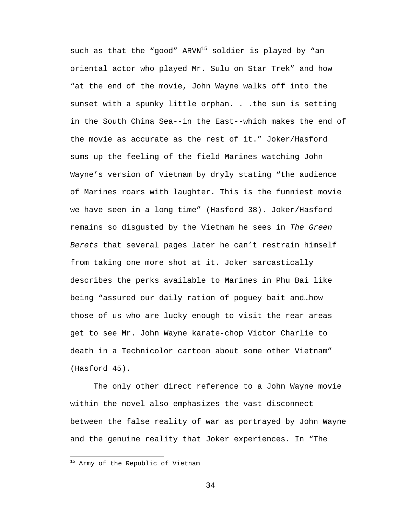such as that the "good"  $ARVN^{15}$  soldier is played by "an oriental actor who played Mr. Sulu on Star Trek" and how "at the end of the movie, John Wayne walks off into the sunset with a spunky little orphan. . .the sun is setting in the South China Sea--in the East--which makes the end of the movie as accurate as the rest of it." Joker/Hasford sums up the feeling of the field Marines watching John Wayne's version of Vietnam by dryly stating "the audience of Marines roars with laughter. This is the funniest movie we have seen in a long time" (Hasford 38). Joker/Hasford remains so disgusted by the Vietnam he sees in The Green Berets that several pages later he can't restrain himself from taking one more shot at it. Joker sarcastically describes the perks available to Marines in Phu Bai like being "assured our daily ration of poguey bait and…how those of us who are lucky enough to visit the rear areas get to see Mr. John Wayne karate-chop Victor Charlie to death in a Technicolor cartoon about some other Vietnam" (Hasford 45).

 The only other direct reference to a John Wayne movie within the novel also emphasizes the vast disconnect between the false reality of war as portrayed by John Wayne and the genuine reality that Joker experiences. In "The

 $\overline{a}$ 

<sup>&</sup>lt;sup>15</sup> Army of the Republic of Vietnam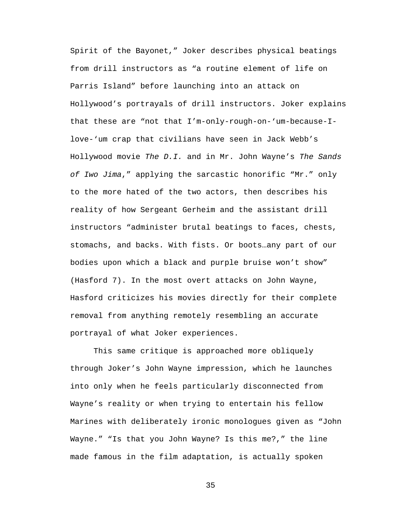Spirit of the Bayonet," Joker describes physical beatings from drill instructors as "a routine element of life on Parris Island" before launching into an attack on Hollywood's portrayals of drill instructors. Joker explains that these are "not that I'm-only-rough-on-'um-because-Ilove-'um crap that civilians have seen in Jack Webb's Hollywood movie The D.I. and in Mr. John Wayne's The Sands of Iwo Jima," applying the sarcastic honorific "Mr." only to the more hated of the two actors, then describes his reality of how Sergeant Gerheim and the assistant drill instructors "administer brutal beatings to faces, chests, stomachs, and backs. With fists. Or boots…any part of our bodies upon which a black and purple bruise won't show" (Hasford 7). In the most overt attacks on John Wayne, Hasford criticizes his movies directly for their complete removal from anything remotely resembling an accurate portrayal of what Joker experiences.

 This same critique is approached more obliquely through Joker's John Wayne impression, which he launches into only when he feels particularly disconnected from Wayne's reality or when trying to entertain his fellow Marines with deliberately ironic monologues given as "John Wayne." "Is that you John Wayne? Is this me?," the line made famous in the film adaptation, is actually spoken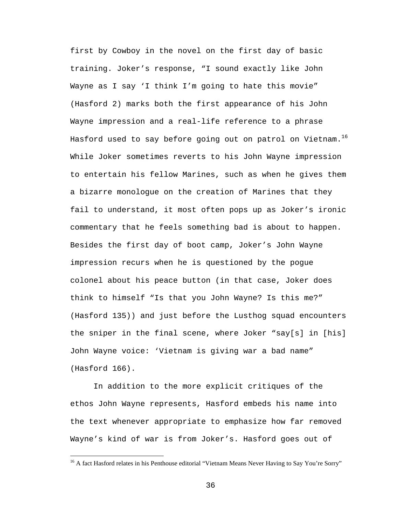first by Cowboy in the novel on the first day of basic training. Joker's response, "I sound exactly like John Wayne as I say 'I think I'm going to hate this movie" (Hasford 2) marks both the first appearance of his John Wayne impression and a real-life reference to a phrase Hasford used to say before going out on patrol on Vietnam.<sup>16</sup> While Joker sometimes reverts to his John Wayne impression to entertain his fellow Marines, such as when he gives them a bizarre monologue on the creation of Marines that they fail to understand, it most often pops up as Joker's ironic commentary that he feels something bad is about to happen. Besides the first day of boot camp, Joker's John Wayne impression recurs when he is questioned by the pogue colonel about his peace button (in that case, Joker does think to himself "Is that you John Wayne? Is this me?" (Hasford 135)) and just before the Lusthog squad encounters the sniper in the final scene, where Joker "say[s] in [his] John Wayne voice: 'Vietnam is giving war a bad name" (Hasford 166).

 In addition to the more explicit critiques of the ethos John Wayne represents, Hasford embeds his name into the text whenever appropriate to emphasize how far removed Wayne's kind of war is from Joker's. Hasford goes out of

 $\overline{a}$ 

<sup>&</sup>lt;sup>16</sup> A fact Hasford relates in his Penthouse editorial "Vietnam Means Never Having to Say You're Sorry"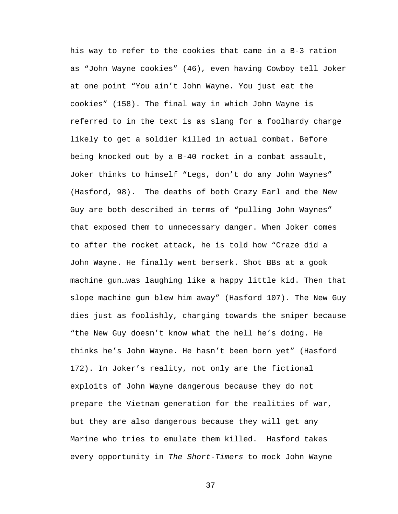his way to refer to the cookies that came in a B-3 ration as "John Wayne cookies" (46), even having Cowboy tell Joker at one point "You ain't John Wayne. You just eat the cookies" (158). The final way in which John Wayne is referred to in the text is as slang for a foolhardy charge likely to get a soldier killed in actual combat. Before being knocked out by a B-40 rocket in a combat assault, Joker thinks to himself "Legs, don't do any John Waynes" (Hasford, 98). The deaths of both Crazy Earl and the New Guy are both described in terms of "pulling John Waynes" that exposed them to unnecessary danger. When Joker comes to after the rocket attack, he is told how "Craze did a John Wayne. He finally went berserk. Shot BBs at a gook machine gun…was laughing like a happy little kid. Then that slope machine gun blew him away" (Hasford 107). The New Guy dies just as foolishly, charging towards the sniper because "the New Guy doesn't know what the hell he's doing. He thinks he's John Wayne. He hasn't been born yet" (Hasford 172). In Joker's reality, not only are the fictional exploits of John Wayne dangerous because they do not prepare the Vietnam generation for the realities of war, but they are also dangerous because they will get any Marine who tries to emulate them killed. Hasford takes every opportunity in The Short-Timers to mock John Wayne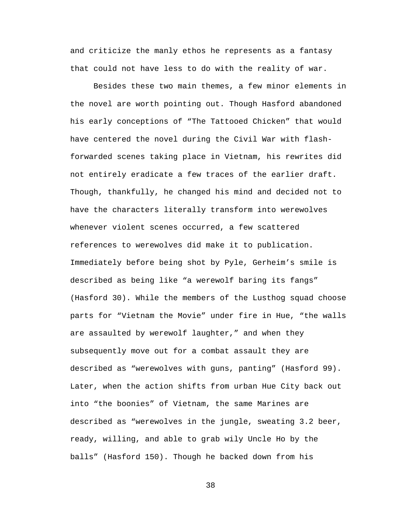and criticize the manly ethos he represents as a fantasy that could not have less to do with the reality of war.

 Besides these two main themes, a few minor elements in the novel are worth pointing out. Though Hasford abandoned his early conceptions of "The Tattooed Chicken" that would have centered the novel during the Civil War with flashforwarded scenes taking place in Vietnam, his rewrites did not entirely eradicate a few traces of the earlier draft. Though, thankfully, he changed his mind and decided not to have the characters literally transform into werewolves whenever violent scenes occurred, a few scattered references to werewolves did make it to publication. Immediately before being shot by Pyle, Gerheim's smile is described as being like "a werewolf baring its fangs" (Hasford 30). While the members of the Lusthog squad choose parts for "Vietnam the Movie" under fire in Hue, "the walls are assaulted by werewolf laughter," and when they subsequently move out for a combat assault they are described as "werewolves with guns, panting" (Hasford 99). Later, when the action shifts from urban Hue City back out into "the boonies" of Vietnam, the same Marines are described as "werewolves in the jungle, sweating 3.2 beer, ready, willing, and able to grab wily Uncle Ho by the balls" (Hasford 150). Though he backed down from his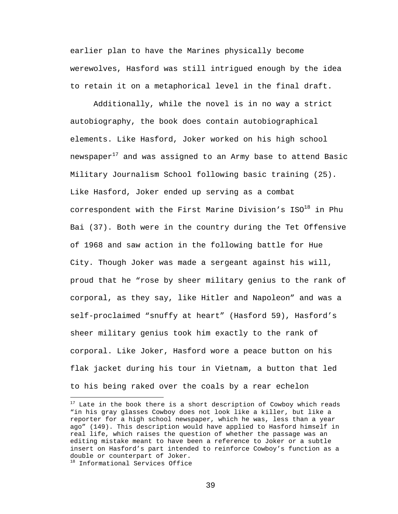earlier plan to have the Marines physically become werewolves, Hasford was still intrigued enough by the idea to retain it on a metaphorical level in the final draft.

 Additionally, while the novel is in no way a strict autobiography, the book does contain autobiographical elements. Like Hasford, Joker worked on his high school newspaper $17$  and was assigned to an Army base to attend Basic Military Journalism School following basic training (25). Like Hasford, Joker ended up serving as a combat correspondent with the First Marine Division's  $ISO^{18}$  in Phu Bai (37). Both were in the country during the Tet Offensive of 1968 and saw action in the following battle for Hue City. Though Joker was made a sergeant against his will, proud that he "rose by sheer military genius to the rank of corporal, as they say, like Hitler and Napoleon" and was a self-proclaimed "snuffy at heart" (Hasford 59), Hasford's sheer military genius took him exactly to the rank of corporal. Like Joker, Hasford wore a peace button on his flak jacket during his tour in Vietnam, a button that led to his being raked over the coals by a rear echelon

-

 $17$  Late in the book there is a short description of Cowboy which reads "in his gray glasses Cowboy does not look like a killer, but like a reporter for a high school newspaper, which he was, less than a year ago" (149). This description would have applied to Hasford himself in real life, which raises the question of whether the passage was an editing mistake meant to have been a reference to Joker or a subtle insert on Hasford's part intended to reinforce Cowboy's function as a double or counterpart of Joker.

<sup>&</sup>lt;sup>18</sup> Informational Services Office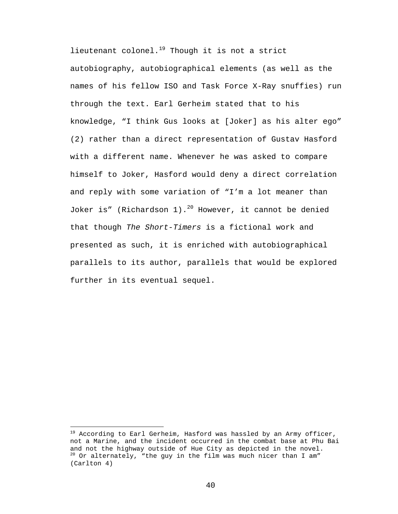lieutenant colonel. $19$  Though it is not a strict autobiography, autobiographical elements (as well as the names of his fellow ISO and Task Force X-Ray snuffies) run through the text. Earl Gerheim stated that to his knowledge, "I think Gus looks at [Joker] as his alter ego" (2) rather than a direct representation of Gustav Hasford with a different name. Whenever he was asked to compare himself to Joker, Hasford would deny a direct correlation and reply with some variation of "I'm a lot meaner than Joker is" (Richardson 1).<sup>20</sup> However, it cannot be denied that though The Short-Timers is a fictional work and presented as such, it is enriched with autobiographical parallels to its author, parallels that would be explored further in its eventual sequel.

-

 $19$  According to Earl Gerheim, Hasford was hassled by an Army officer, not a Marine, and the incident occurred in the combat base at Phu Bai and not the highway outside of Hue City as depicted in the novel.  $20$  Or alternately, "the guy in the film was much nicer than I am" (Carlton 4)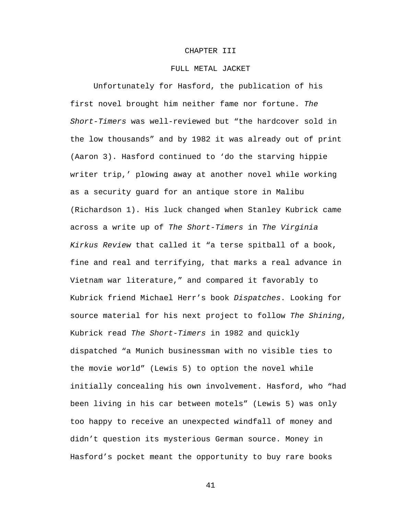## CHAPTER III

## FULL METAL JACKET

Unfortunately for Hasford, the publication of his first novel brought him neither fame nor fortune. The Short-Timers was well-reviewed but "the hardcover sold in the low thousands" and by 1982 it was already out of print (Aaron 3). Hasford continued to 'do the starving hippie writer trip,' plowing away at another novel while working as a security guard for an antique store in Malibu (Richardson 1). His luck changed when Stanley Kubrick came across a write up of The Short-Timers in The Virginia Kirkus Review that called it "a terse spitball of a book, fine and real and terrifying, that marks a real advance in Vietnam war literature," and compared it favorably to Kubrick friend Michael Herr's book Dispatches. Looking for source material for his next project to follow The Shining, Kubrick read The Short-Timers in 1982 and quickly dispatched "a Munich businessman with no visible ties to the movie world" (Lewis 5) to option the novel while initially concealing his own involvement. Hasford, who "had been living in his car between motels" (Lewis 5) was only too happy to receive an unexpected windfall of money and didn't question its mysterious German source. Money in Hasford's pocket meant the opportunity to buy rare books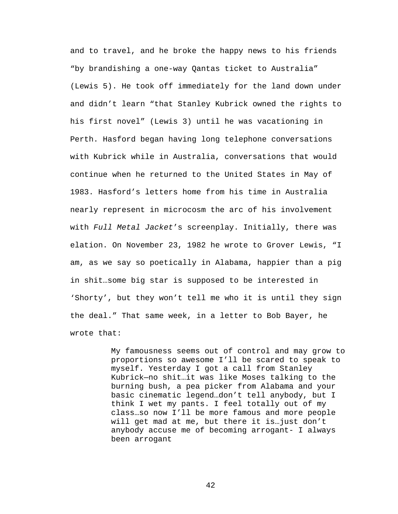and to travel, and he broke the happy news to his friends "by brandishing a one-way Qantas ticket to Australia" (Lewis 5). He took off immediately for the land down under and didn't learn "that Stanley Kubrick owned the rights to his first novel" (Lewis 3) until he was vacationing in Perth. Hasford began having long telephone conversations with Kubrick while in Australia, conversations that would continue when he returned to the United States in May of 1983. Hasford's letters home from his time in Australia nearly represent in microcosm the arc of his involvement with Full Metal Jacket's screenplay. Initially, there was elation. On November 23, 1982 he wrote to Grover Lewis, "I am, as we say so poetically in Alabama, happier than a pig in shit…some big star is supposed to be interested in 'Shorty', but they won't tell me who it is until they sign the deal." That same week, in a letter to Bob Bayer, he wrote that:

> My famousness seems out of control and may grow to proportions so awesome I'll be scared to speak to myself. Yesterday I got a call from Stanley Kubrick—no shit…it was like Moses talking to the burning bush, a pea picker from Alabama and your basic cinematic legend…don't tell anybody, but I think I wet my pants. I feel totally out of my class…so now I'll be more famous and more people will get mad at me, but there it is…just don't anybody accuse me of becoming arrogant- I always been arrogant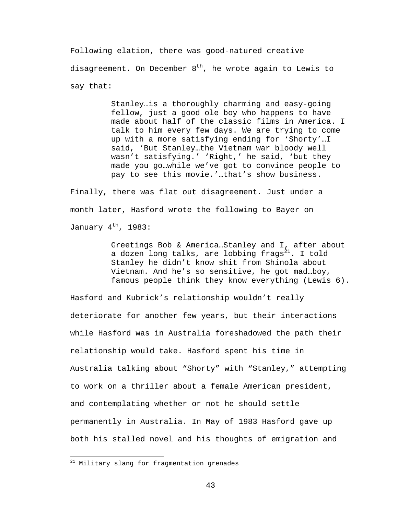Following elation, there was good-natured creative disagreement. On December  $8<sup>th</sup>$ , he wrote again to Lewis to say that:

> Stanley…is a thoroughly charming and easy-going fellow, just a good ole boy who happens to have made about half of the classic films in America. I talk to him every few days. We are trying to come up with a more satisfying ending for 'Shorty'…I said, 'But Stanley…the Vietnam war bloody well wasn't satisfying.' 'Right,' he said, 'but they made you go…while we've got to convince people to pay to see this movie.'…that's show business.

Finally, there was flat out disagreement. Just under a month later, Hasford wrote the following to Bayer on January  $4^{\text{th}}$ , 1983:

> Greetings Bob & America…Stanley and I, after about a dozen long talks, are lobbing  $frags^{21}$ . I told Stanley he didn't know shit from Shinola about Vietnam. And he's so sensitive, he got mad…boy, famous people think they know everything (Lewis 6).

Hasford and Kubrick's relationship wouldn't really deteriorate for another few years, but their interactions while Hasford was in Australia foreshadowed the path their relationship would take. Hasford spent his time in Australia talking about "Shorty" with "Stanley," attempting to work on a thriller about a female American president, and contemplating whether or not he should settle permanently in Australia. In May of 1983 Hasford gave up both his stalled novel and his thoughts of emigration and

<u>.</u>

 $21$  Military slang for fragmentation grenades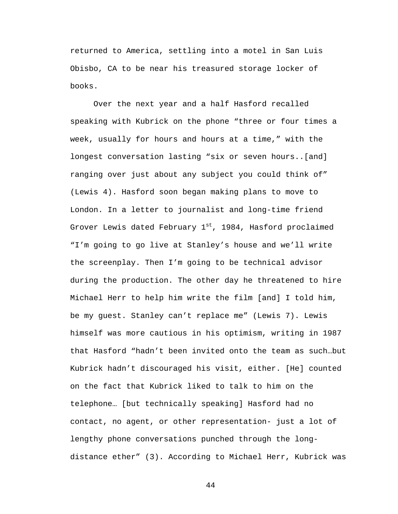returned to America, settling into a motel in San Luis Obisbo, CA to be near his treasured storage locker of books.

Over the next year and a half Hasford recalled speaking with Kubrick on the phone "three or four times a week, usually for hours and hours at a time," with the longest conversation lasting "six or seven hours..[and] ranging over just about any subject you could think of" (Lewis 4). Hasford soon began making plans to move to London. In a letter to journalist and long-time friend Grover Lewis dated February  $1<sup>st</sup>$ , 1984, Hasford proclaimed "I'm going to go live at Stanley's house and we'll write the screenplay. Then I'm going to be technical advisor during the production. The other day he threatened to hire Michael Herr to help him write the film [and] I told him, be my guest. Stanley can't replace me" (Lewis 7). Lewis himself was more cautious in his optimism, writing in 1987 that Hasford "hadn't been invited onto the team as such…but Kubrick hadn't discouraged his visit, either. [He] counted on the fact that Kubrick liked to talk to him on the telephone… [but technically speaking] Hasford had no contact, no agent, or other representation- just a lot of lengthy phone conversations punched through the longdistance ether" (3). According to Michael Herr, Kubrick was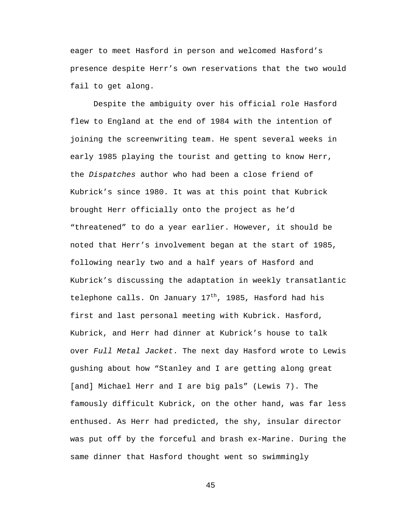eager to meet Hasford in person and welcomed Hasford's presence despite Herr's own reservations that the two would fail to get along.

 Despite the ambiguity over his official role Hasford flew to England at the end of 1984 with the intention of joining the screenwriting team. He spent several weeks in early 1985 playing the tourist and getting to know Herr, the Dispatches author who had been a close friend of Kubrick's since 1980. It was at this point that Kubrick brought Herr officially onto the project as he'd "threatened" to do a year earlier. However, it should be noted that Herr's involvement began at the start of 1985, following nearly two and a half years of Hasford and Kubrick's discussing the adaptation in weekly transatlantic telephone calls. On January  $17<sup>th</sup>$ , 1985, Hasford had his first and last personal meeting with Kubrick. Hasford, Kubrick, and Herr had dinner at Kubrick's house to talk over Full Metal Jacket. The next day Hasford wrote to Lewis gushing about how "Stanley and I are getting along great [and] Michael Herr and I are big pals" (Lewis 7). The famously difficult Kubrick, on the other hand, was far less enthused. As Herr had predicted, the shy, insular director was put off by the forceful and brash ex-Marine. During the same dinner that Hasford thought went so swimmingly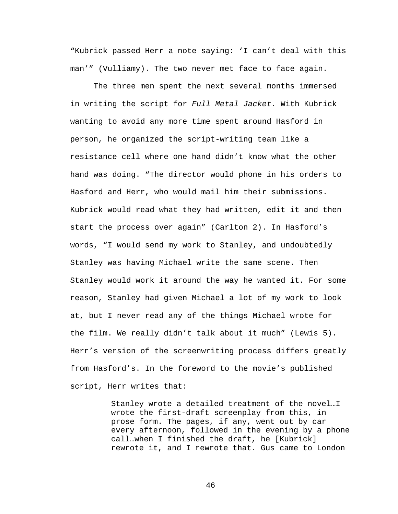"Kubrick passed Herr a note saying: 'I can't deal with this man'" (Vulliamy). The two never met face to face again.

 The three men spent the next several months immersed in writing the script for Full Metal Jacket. With Kubrick wanting to avoid any more time spent around Hasford in person, he organized the script-writing team like a resistance cell where one hand didn't know what the other hand was doing. "The director would phone in his orders to Hasford and Herr, who would mail him their submissions. Kubrick would read what they had written, edit it and then start the process over again" (Carlton 2). In Hasford's words, "I would send my work to Stanley, and undoubtedly Stanley was having Michael write the same scene. Then Stanley would work it around the way he wanted it. For some reason, Stanley had given Michael a lot of my work to look at, but I never read any of the things Michael wrote for the film. We really didn't talk about it much" (Lewis 5). Herr's version of the screenwriting process differs greatly from Hasford's. In the foreword to the movie's published script, Herr writes that:

> Stanley wrote a detailed treatment of the novel…I wrote the first-draft screenplay from this, in prose form. The pages, if any, went out by car every afternoon, followed in the evening by a phone call…when I finished the draft, he [Kubrick] rewrote it, and I rewrote that. Gus came to London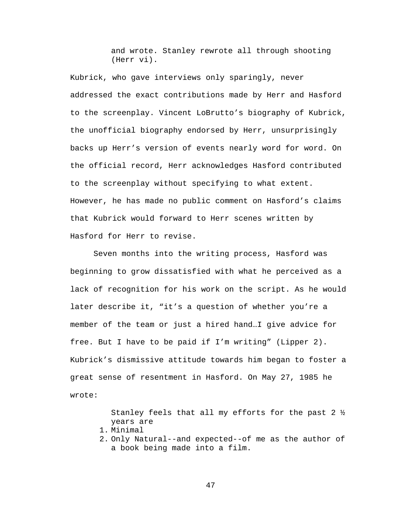and wrote. Stanley rewrote all through shooting (Herr vi).

Kubrick, who gave interviews only sparingly, never addressed the exact contributions made by Herr and Hasford to the screenplay. Vincent LoBrutto's biography of Kubrick, the unofficial biography endorsed by Herr, unsurprisingly backs up Herr's version of events nearly word for word. On the official record, Herr acknowledges Hasford contributed to the screenplay without specifying to what extent. However, he has made no public comment on Hasford's claims that Kubrick would forward to Herr scenes written by Hasford for Herr to revise.

Seven months into the writing process, Hasford was beginning to grow dissatisfied with what he perceived as a lack of recognition for his work on the script. As he would later describe it, "it's a question of whether you're a member of the team or just a hired hand…I give advice for free. But I have to be paid if I'm writing" (Lipper 2). Kubrick's dismissive attitude towards him began to foster a great sense of resentment in Hasford. On May 27, 1985 he wrote:

> Stanley feels that all my efforts for the past 2 ½ years are

- 1. Minimal
- 2. Only Natural--and expected--of me as the author of a book being made into a film.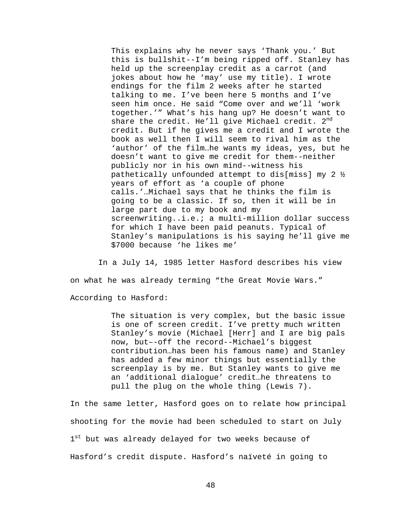This explains why he never says 'Thank you.' But this is bullshit--I'm being ripped off. Stanley has held up the screenplay credit as a carrot (and jokes about how he 'may' use my title). I wrote endings for the film 2 weeks after he started talking to me. I've been here 5 months and I've seen him once. He said "Come over and we'll 'work together.'" What's his hang up? He doesn't want to share the credit. He'll give Michael credit. 2<sup>nd</sup> credit. But if he gives me a credit and I wrote the book as well then I will seem to rival him as the 'author' of the film…he wants my ideas, yes, but he doesn't want to give me credit for them--neither publicly nor in his own mind--witness his pathetically unfounded attempt to dis[miss] my 2 ½ years of effort as 'a couple of phone calls.'…Michael says that he thinks the film is going to be a classic. If so, then it will be in large part due to my book and my screenwriting..i.e.; a multi-million dollar success for which I have been paid peanuts. Typical of Stanley's manipulations is his saying he'll give me \$7000 because 'he likes me'

 In a July 14, 1985 letter Hasford describes his view on what he was already terming "the Great Movie Wars." According to Hasford:

> The situation is very complex, but the basic issue is one of screen credit. I've pretty much written Stanley's movie (Michael [Herr] and I are big pals now, but–-off the record--Michael's biggest contribution…has been his famous name) and Stanley has added a few minor things but essentially the screenplay is by me. But Stanley wants to give me an 'additional dialogue' credit…he threatens to pull the plug on the whole thing (Lewis 7).

In the same letter, Hasford goes on to relate how principal shooting for the movie had been scheduled to start on July 1st but was already delayed for two weeks because of Hasford's credit dispute. Hasford's naïveté in going to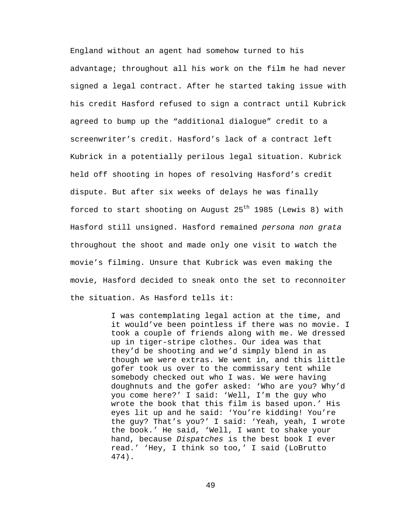England without an agent had somehow turned to his advantage; throughout all his work on the film he had never signed a legal contract. After he started taking issue with his credit Hasford refused to sign a contract until Kubrick agreed to bump up the "additional dialogue" credit to a screenwriter's credit. Hasford's lack of a contract left Kubrick in a potentially perilous legal situation. Kubrick held off shooting in hopes of resolving Hasford's credit dispute. But after six weeks of delays he was finally forced to start shooting on August  $25<sup>th</sup>$  1985 (Lewis 8) with Hasford still unsigned. Hasford remained persona non grata throughout the shoot and made only one visit to watch the movie's filming. Unsure that Kubrick was even making the movie, Hasford decided to sneak onto the set to reconnoiter the situation. As Hasford tells it:

> I was contemplating legal action at the time, and it would've been pointless if there was no movie. I took a couple of friends along with me. We dressed up in tiger-stripe clothes. Our idea was that they'd be shooting and we'd simply blend in as though we were extras. We went in, and this little gofer took us over to the commissary tent while somebody checked out who I was. We were having doughnuts and the gofer asked: 'Who are you? Why'd you come here?' I said: 'Well, I'm the guy who wrote the book that this film is based upon.' His eyes lit up and he said: 'You're kidding! You're the guy? That's you?' I said: 'Yeah, yeah, I wrote the book.' He said, 'Well, I want to shake your hand, because Dispatches is the best book I ever read.' 'Hey, I think so too,' I said (LoBrutto 474).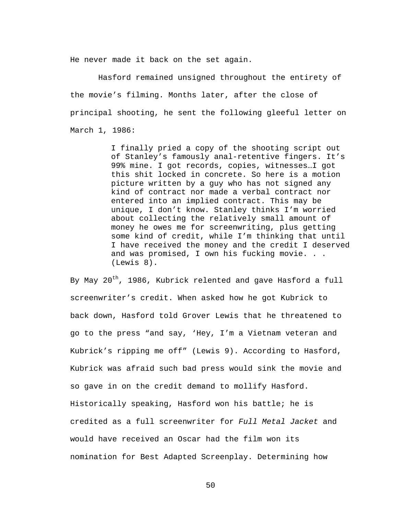He never made it back on the set again.

 Hasford remained unsigned throughout the entirety of the movie's filming. Months later, after the close of principal shooting, he sent the following gleeful letter on March 1, 1986:

> I finally pried a copy of the shooting script out of Stanley's famously anal-retentive fingers. It's 99% mine. I got records, copies, witnesses…I got this shit locked in concrete. So here is a motion picture written by a guy who has not signed any kind of contract nor made a verbal contract nor entered into an implied contract. This may be unique, I don't know. Stanley thinks I'm worried about collecting the relatively small amount of money he owes me for screenwriting, plus getting some kind of credit, while I'm thinking that until I have received the money and the credit I deserved and was promised, I own his fucking movie. . . (Lewis 8).

By May 20<sup>th</sup>, 1986, Kubrick relented and gave Hasford a full screenwriter's credit. When asked how he got Kubrick to back down, Hasford told Grover Lewis that he threatened to go to the press "and say, 'Hey, I'm a Vietnam veteran and Kubrick's ripping me off" (Lewis 9). According to Hasford, Kubrick was afraid such bad press would sink the movie and so gave in on the credit demand to mollify Hasford. Historically speaking, Hasford won his battle; he is credited as a full screenwriter for Full Metal Jacket and would have received an Oscar had the film won its nomination for Best Adapted Screenplay. Determining how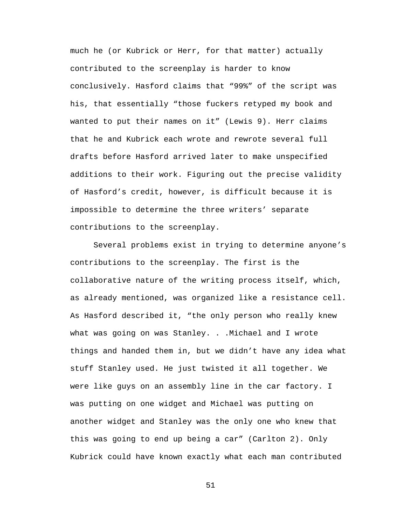much he (or Kubrick or Herr, for that matter) actually contributed to the screenplay is harder to know conclusively. Hasford claims that "99%" of the script was his, that essentially "those fuckers retyped my book and wanted to put their names on it" (Lewis 9). Herr claims that he and Kubrick each wrote and rewrote several full drafts before Hasford arrived later to make unspecified additions to their work. Figuring out the precise validity of Hasford's credit, however, is difficult because it is impossible to determine the three writers' separate contributions to the screenplay.

 Several problems exist in trying to determine anyone's contributions to the screenplay. The first is the collaborative nature of the writing process itself, which, as already mentioned, was organized like a resistance cell. As Hasford described it, "the only person who really knew what was going on was Stanley. . .Michael and I wrote things and handed them in, but we didn't have any idea what stuff Stanley used. He just twisted it all together. We were like guys on an assembly line in the car factory. I was putting on one widget and Michael was putting on another widget and Stanley was the only one who knew that this was going to end up being a car" (Carlton 2). Only Kubrick could have known exactly what each man contributed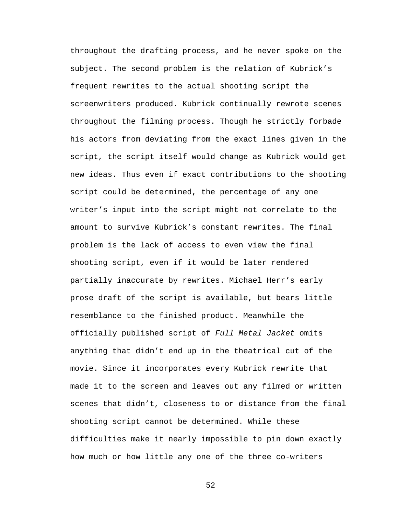throughout the drafting process, and he never spoke on the subject. The second problem is the relation of Kubrick's frequent rewrites to the actual shooting script the screenwriters produced. Kubrick continually rewrote scenes throughout the filming process. Though he strictly forbade his actors from deviating from the exact lines given in the script, the script itself would change as Kubrick would get new ideas. Thus even if exact contributions to the shooting script could be determined, the percentage of any one writer's input into the script might not correlate to the amount to survive Kubrick's constant rewrites. The final problem is the lack of access to even view the final shooting script, even if it would be later rendered partially inaccurate by rewrites. Michael Herr's early prose draft of the script is available, but bears little resemblance to the finished product. Meanwhile the officially published script of Full Metal Jacket omits anything that didn't end up in the theatrical cut of the movie. Since it incorporates every Kubrick rewrite that made it to the screen and leaves out any filmed or written scenes that didn't, closeness to or distance from the final shooting script cannot be determined. While these difficulties make it nearly impossible to pin down exactly how much or how little any one of the three co-writers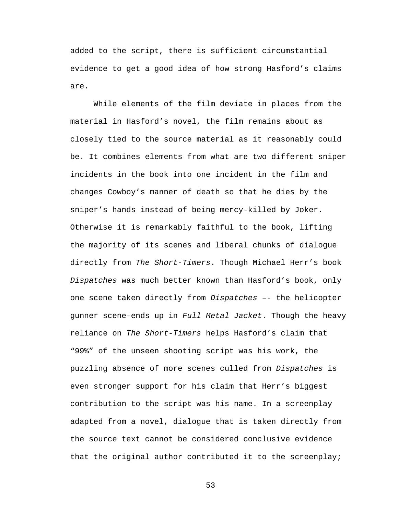added to the script, there is sufficient circumstantial evidence to get a good idea of how strong Hasford's claims are.

 While elements of the film deviate in places from the material in Hasford's novel, the film remains about as closely tied to the source material as it reasonably could be. It combines elements from what are two different sniper incidents in the book into one incident in the film and changes Cowboy's manner of death so that he dies by the sniper's hands instead of being mercy-killed by Joker. Otherwise it is remarkably faithful to the book, lifting the majority of its scenes and liberal chunks of dialogue directly from The Short-Timers. Though Michael Herr's book Dispatches was much better known than Hasford's book, only one scene taken directly from Dispatches –- the helicopter gunner scene–ends up in Full Metal Jacket. Though the heavy reliance on The Short-Timers helps Hasford's claim that "99%" of the unseen shooting script was his work, the puzzling absence of more scenes culled from Dispatches is even stronger support for his claim that Herr's biggest contribution to the script was his name. In a screenplay adapted from a novel, dialogue that is taken directly from the source text cannot be considered conclusive evidence that the original author contributed it to the screenplay;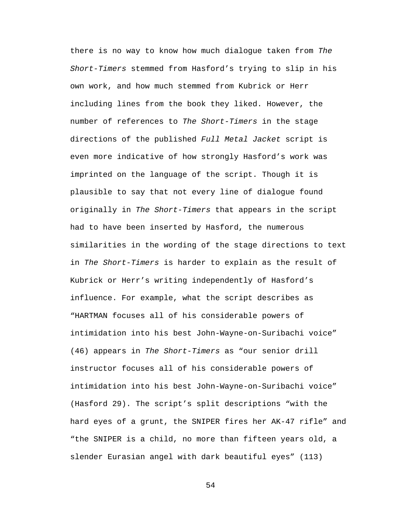there is no way to know how much dialogue taken from The Short-Timers stemmed from Hasford's trying to slip in his own work, and how much stemmed from Kubrick or Herr including lines from the book they liked. However, the number of references to The Short-Timers in the stage directions of the published Full Metal Jacket script is even more indicative of how strongly Hasford's work was imprinted on the language of the script. Though it is plausible to say that not every line of dialogue found originally in The Short-Timers that appears in the script had to have been inserted by Hasford, the numerous similarities in the wording of the stage directions to text in The Short-Timers is harder to explain as the result of Kubrick or Herr's writing independently of Hasford's influence. For example, what the script describes as "HARTMAN focuses all of his considerable powers of intimidation into his best John-Wayne-on-Suribachi voice" (46) appears in The Short-Timers as "our senior drill instructor focuses all of his considerable powers of intimidation into his best John-Wayne-on-Suribachi voice" (Hasford 29). The script's split descriptions "with the hard eyes of a grunt, the SNIPER fires her AK-47 rifle" and "the SNIPER is a child, no more than fifteen years old, a slender Eurasian angel with dark beautiful eyes" (113)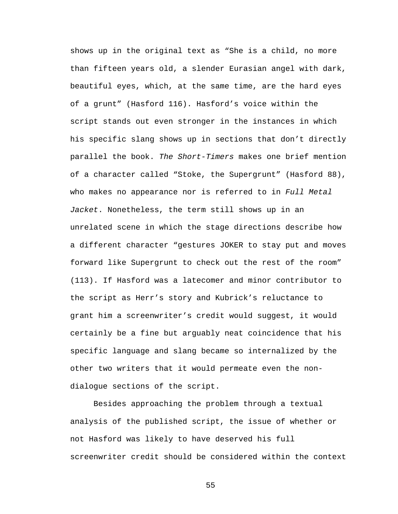shows up in the original text as "She is a child, no more than fifteen years old, a slender Eurasian angel with dark, beautiful eyes, which, at the same time, are the hard eyes of a grunt" (Hasford 116). Hasford's voice within the script stands out even stronger in the instances in which his specific slang shows up in sections that don't directly parallel the book. The Short-Timers makes one brief mention of a character called "Stoke, the Supergrunt" (Hasford 88), who makes no appearance nor is referred to in Full Metal Jacket. Nonetheless, the term still shows up in an unrelated scene in which the stage directions describe how a different character "gestures JOKER to stay put and moves forward like Supergrunt to check out the rest of the room" (113). If Hasford was a latecomer and minor contributor to the script as Herr's story and Kubrick's reluctance to grant him a screenwriter's credit would suggest, it would certainly be a fine but arguably neat coincidence that his specific language and slang became so internalized by the other two writers that it would permeate even the nondialogue sections of the script.

 Besides approaching the problem through a textual analysis of the published script, the issue of whether or not Hasford was likely to have deserved his full screenwriter credit should be considered within the context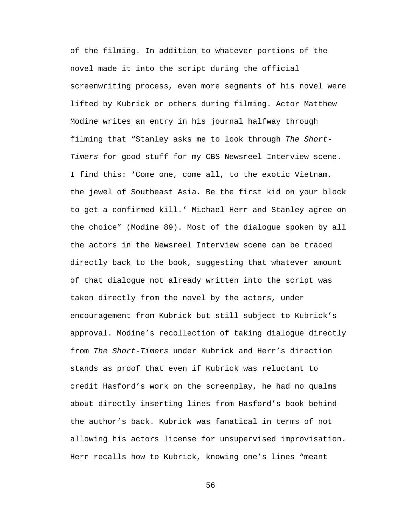of the filming. In addition to whatever portions of the novel made it into the script during the official screenwriting process, even more segments of his novel were lifted by Kubrick or others during filming. Actor Matthew Modine writes an entry in his journal halfway through filming that "Stanley asks me to look through The Short-Timers for good stuff for my CBS Newsreel Interview scene. I find this: 'Come one, come all, to the exotic Vietnam, the jewel of Southeast Asia. Be the first kid on your block to get a confirmed kill.' Michael Herr and Stanley agree on the choice" (Modine 89). Most of the dialogue spoken by all the actors in the Newsreel Interview scene can be traced directly back to the book, suggesting that whatever amount of that dialogue not already written into the script was taken directly from the novel by the actors, under encouragement from Kubrick but still subject to Kubrick's approval. Modine's recollection of taking dialogue directly from The Short-Timers under Kubrick and Herr's direction stands as proof that even if Kubrick was reluctant to credit Hasford's work on the screenplay, he had no qualms about directly inserting lines from Hasford's book behind the author's back. Kubrick was fanatical in terms of not allowing his actors license for unsupervised improvisation. Herr recalls how to Kubrick, knowing one's lines "meant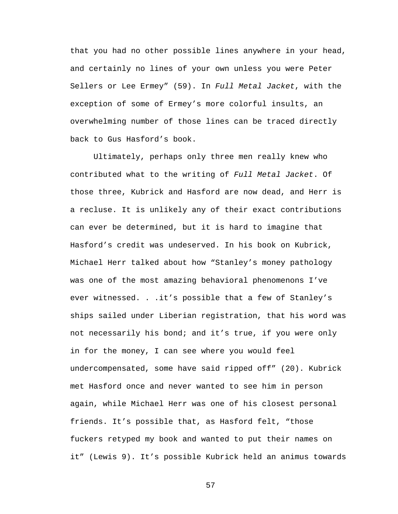that you had no other possible lines anywhere in your head, and certainly no lines of your own unless you were Peter Sellers or Lee Ermey" (59). In Full Metal Jacket, with the exception of some of Ermey's more colorful insults, an overwhelming number of those lines can be traced directly back to Gus Hasford's book.

 Ultimately, perhaps only three men really knew who contributed what to the writing of Full Metal Jacket. Of those three, Kubrick and Hasford are now dead, and Herr is a recluse. It is unlikely any of their exact contributions can ever be determined, but it is hard to imagine that Hasford's credit was undeserved. In his book on Kubrick, Michael Herr talked about how "Stanley's money pathology was one of the most amazing behavioral phenomenons I've ever witnessed. . .it's possible that a few of Stanley's ships sailed under Liberian registration, that his word was not necessarily his bond; and it's true, if you were only in for the money, I can see where you would feel undercompensated, some have said ripped off" (20). Kubrick met Hasford once and never wanted to see him in person again, while Michael Herr was one of his closest personal friends. It's possible that, as Hasford felt, "those fuckers retyped my book and wanted to put their names on it" (Lewis 9). It's possible Kubrick held an animus towards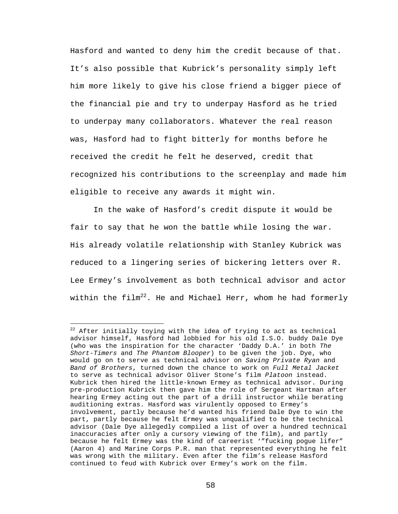Hasford and wanted to deny him the credit because of that. It's also possible that Kubrick's personality simply left him more likely to give his close friend a bigger piece of the financial pie and try to underpay Hasford as he tried to underpay many collaborators. Whatever the real reason was, Hasford had to fight bitterly for months before he received the credit he felt he deserved, credit that recognized his contributions to the screenplay and made him eligible to receive any awards it might win.

In the wake of Hasford's credit dispute it would be fair to say that he won the battle while losing the war. His already volatile relationship with Stanley Kubrick was reduced to a lingering series of bickering letters over R. Lee Ermey's involvement as both technical advisor and actor within the film<sup>22</sup>. He and Michael Herr, whom he had formerly

<u>.</u>

 $22$  After initially toying with the idea of trying to act as technical advisor himself, Hasford had lobbied for his old I.S.O. buddy Dale Dye (who was the inspiration for the character 'Daddy D.A.' in both The Short-Timers and The Phantom Blooper) to be given the job. Dye, who would go on to serve as technical advisor on Saving Private Ryan and Band of Brothers, turned down the chance to work on Full Metal Jacket to serve as technical advisor Oliver Stone's film Platoon instead. Kubrick then hired the little-known Ermey as technical advisor. During pre-production Kubrick then gave him the role of Sergeant Hartman after hearing Ermey acting out the part of a drill instructor while berating auditioning extras. Hasford was virulently opposed to Ermey's involvement, partly because he'd wanted his friend Dale Dye to win the part, partly because he felt Ermey was unqualified to be the technical advisor (Dale Dye allegedly compiled a list of over a hundred technical inaccuracies after only a cursory viewing of the film), and partly because he felt Ermey was the kind of careerist '"fucking pogue lifer" (Aaron 4) and Marine Corps P.R. man that represented everything he felt was wrong with the military. Even after the film's release Hasford continued to feud with Kubrick over Ermey's work on the film.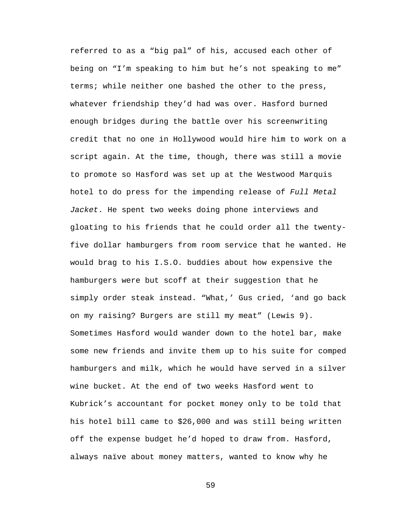referred to as a "big pal" of his, accused each other of being on "I'm speaking to him but he's not speaking to me" terms; while neither one bashed the other to the press, whatever friendship they'd had was over. Hasford burned enough bridges during the battle over his screenwriting credit that no one in Hollywood would hire him to work on a script again. At the time, though, there was still a movie to promote so Hasford was set up at the Westwood Marquis hotel to do press for the impending release of Full Metal Jacket. He spent two weeks doing phone interviews and gloating to his friends that he could order all the twentyfive dollar hamburgers from room service that he wanted. He would brag to his I.S.O. buddies about how expensive the hamburgers were but scoff at their suggestion that he simply order steak instead. "What,' Gus cried, 'and go back on my raising? Burgers are still my meat" (Lewis 9). Sometimes Hasford would wander down to the hotel bar, make some new friends and invite them up to his suite for comped hamburgers and milk, which he would have served in a silver wine bucket. At the end of two weeks Hasford went to Kubrick's accountant for pocket money only to be told that his hotel bill came to \$26,000 and was still being written off the expense budget he'd hoped to draw from. Hasford, always naïve about money matters, wanted to know why he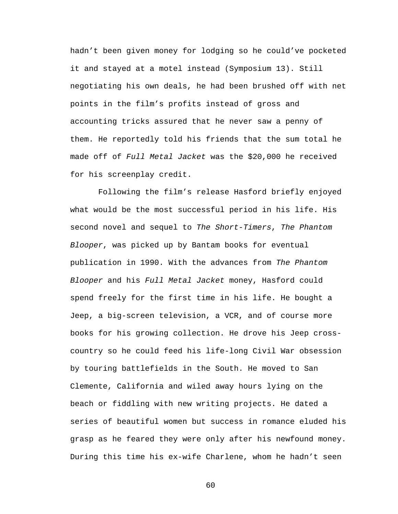hadn't been given money for lodging so he could've pocketed it and stayed at a motel instead (Symposium 13). Still negotiating his own deals, he had been brushed off with net points in the film's profits instead of gross and accounting tricks assured that he never saw a penny of them. He reportedly told his friends that the sum total he made off of Full Metal Jacket was the \$20,000 he received for his screenplay credit.

 Following the film's release Hasford briefly enjoyed what would be the most successful period in his life. His second novel and sequel to The Short-Timers, The Phantom Blooper, was picked up by Bantam books for eventual publication in 1990. With the advances from The Phantom Blooper and his Full Metal Jacket money, Hasford could spend freely for the first time in his life. He bought a Jeep, a big-screen television, a VCR, and of course more books for his growing collection. He drove his Jeep crosscountry so he could feed his life-long Civil War obsession by touring battlefields in the South. He moved to San Clemente, California and wiled away hours lying on the beach or fiddling with new writing projects. He dated a series of beautiful women but success in romance eluded his grasp as he feared they were only after his newfound money. During this time his ex-wife Charlene, whom he hadn't seen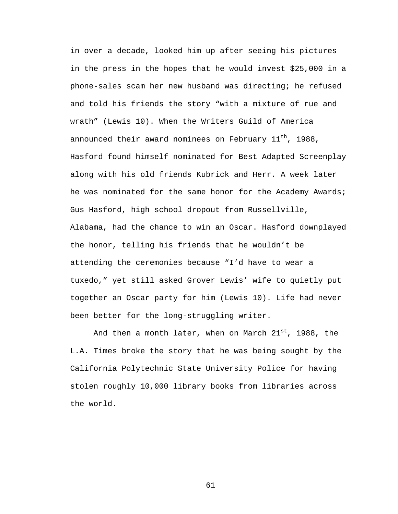in over a decade, looked him up after seeing his pictures in the press in the hopes that he would invest \$25,000 in a phone-sales scam her new husband was directing; he refused and told his friends the story "with a mixture of rue and wrath" (Lewis 10). When the Writers Guild of America announced their award nominees on February  $11<sup>th</sup>$ , 1988, Hasford found himself nominated for Best Adapted Screenplay along with his old friends Kubrick and Herr. A week later he was nominated for the same honor for the Academy Awards; Gus Hasford, high school dropout from Russellville, Alabama, had the chance to win an Oscar. Hasford downplayed the honor, telling his friends that he wouldn't be attending the ceremonies because "I'd have to wear a tuxedo," yet still asked Grover Lewis' wife to quietly put together an Oscar party for him (Lewis 10). Life had never been better for the long-struggling writer.

And then a month later, when on March  $21^{st}$ , 1988, the L.A. Times broke the story that he was being sought by the California Polytechnic State University Police for having stolen roughly 10,000 library books from libraries across the world.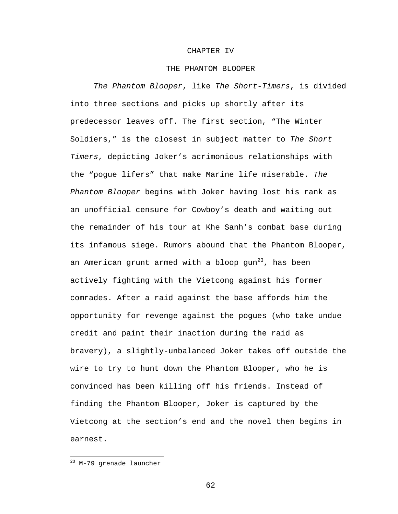## CHAPTER IV

## THE PHANTOM BLOOPER

The Phantom Blooper, like The Short-Timers, is divided into three sections and picks up shortly after its predecessor leaves off. The first section, "The Winter Soldiers," is the closest in subject matter to The Short Timers, depicting Joker's acrimonious relationships with the "pogue lifers" that make Marine life miserable. The Phantom Blooper begins with Joker having lost his rank as an unofficial censure for Cowboy's death and waiting out the remainder of his tour at Khe Sanh's combat base during its infamous siege. Rumors abound that the Phantom Blooper, an American grunt armed with a bloop gun<sup>23</sup>, has been actively fighting with the Vietcong against his former comrades. After a raid against the base affords him the opportunity for revenge against the pogues (who take undue credit and paint their inaction during the raid as bravery), a slightly-unbalanced Joker takes off outside the wire to try to hunt down the Phantom Blooper, who he is convinced has been killing off his friends. Instead of finding the Phantom Blooper, Joker is captured by the Vietcong at the section's end and the novel then begins in earnest.

 $\overline{a}$ 

 $23$  M-79 grenade launcher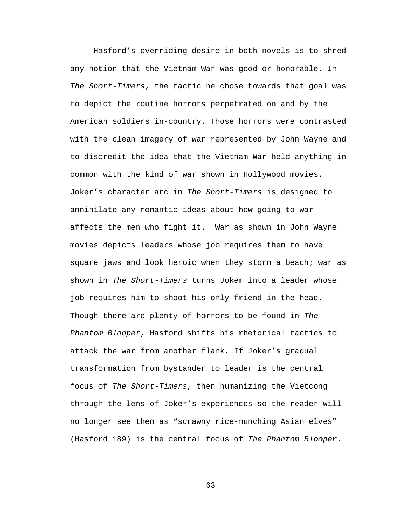Hasford's overriding desire in both novels is to shred any notion that the Vietnam War was good or honorable. In The Short-Timers, the tactic he chose towards that goal was to depict the routine horrors perpetrated on and by the American soldiers in-country. Those horrors were contrasted with the clean imagery of war represented by John Wayne and to discredit the idea that the Vietnam War held anything in common with the kind of war shown in Hollywood movies. Joker's character arc in The Short-Timers is designed to annihilate any romantic ideas about how going to war affects the men who fight it. War as shown in John Wayne movies depicts leaders whose job requires them to have square jaws and look heroic when they storm a beach; war as shown in The Short-Timers turns Joker into a leader whose job requires him to shoot his only friend in the head. Though there are plenty of horrors to be found in The Phantom Blooper, Hasford shifts his rhetorical tactics to attack the war from another flank. If Joker's gradual transformation from bystander to leader is the central focus of The Short-Timers, then humanizing the Vietcong through the lens of Joker's experiences so the reader will no longer see them as "scrawny rice-munching Asian elves" (Hasford 189) is the central focus of The Phantom Blooper.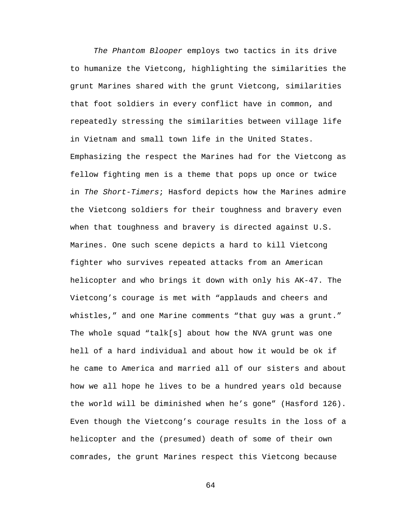The Phantom Blooper employs two tactics in its drive to humanize the Vietcong, highlighting the similarities the grunt Marines shared with the grunt Vietcong, similarities that foot soldiers in every conflict have in common, and repeatedly stressing the similarities between village life in Vietnam and small town life in the United States. Emphasizing the respect the Marines had for the Vietcong as fellow fighting men is a theme that pops up once or twice in The Short-Timers; Hasford depicts how the Marines admire the Vietcong soldiers for their toughness and bravery even when that toughness and bravery is directed against U.S. Marines. One such scene depicts a hard to kill Vietcong fighter who survives repeated attacks from an American helicopter and who brings it down with only his AK-47. The Vietcong's courage is met with "applauds and cheers and whistles," and one Marine comments "that guy was a grunt." The whole squad "talk[s] about how the NVA grunt was one hell of a hard individual and about how it would be ok if he came to America and married all of our sisters and about how we all hope he lives to be a hundred years old because the world will be diminished when he's gone" (Hasford 126). Even though the Vietcong's courage results in the loss of a helicopter and the (presumed) death of some of their own comrades, the grunt Marines respect this Vietcong because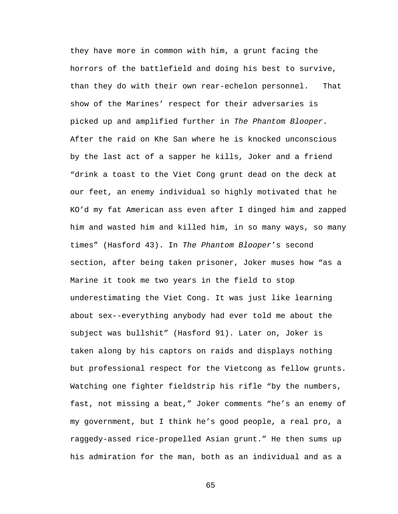they have more in common with him, a grunt facing the horrors of the battlefield and doing his best to survive, than they do with their own rear-echelon personnel. That show of the Marines' respect for their adversaries is picked up and amplified further in The Phantom Blooper. After the raid on Khe San where he is knocked unconscious by the last act of a sapper he kills, Joker and a friend "drink a toast to the Viet Cong grunt dead on the deck at our feet, an enemy individual so highly motivated that he KO'd my fat American ass even after I dinged him and zapped him and wasted him and killed him, in so many ways, so many times" (Hasford 43). In The Phantom Blooper's second section, after being taken prisoner, Joker muses how "as a Marine it took me two years in the field to stop underestimating the Viet Cong. It was just like learning about sex--everything anybody had ever told me about the subject was bullshit" (Hasford 91). Later on, Joker is taken along by his captors on raids and displays nothing but professional respect for the Vietcong as fellow grunts. Watching one fighter fieldstrip his rifle "by the numbers, fast, not missing a beat," Joker comments "he's an enemy of my government, but I think he's good people, a real pro, a raggedy-assed rice-propelled Asian grunt." He then sums up his admiration for the man, both as an individual and as a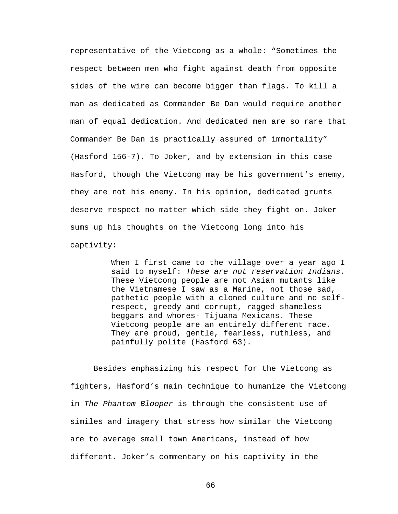representative of the Vietcong as a whole: "Sometimes the respect between men who fight against death from opposite sides of the wire can become bigger than flags. To kill a man as dedicated as Commander Be Dan would require another man of equal dedication. And dedicated men are so rare that Commander Be Dan is practically assured of immortality" (Hasford 156-7). To Joker, and by extension in this case Hasford, though the Vietcong may be his government's enemy, they are not his enemy. In his opinion, dedicated grunts deserve respect no matter which side they fight on. Joker sums up his thoughts on the Vietcong long into his captivity:

> When I first came to the village over a year ago I said to myself: These are not reservation Indians. These Vietcong people are not Asian mutants like the Vietnamese I saw as a Marine, not those sad, pathetic people with a cloned culture and no selfrespect, greedy and corrupt, ragged shameless beggars and whores- Tijuana Mexicans. These Vietcong people are an entirely different race. They are proud, gentle, fearless, ruthless, and painfully polite (Hasford 63).

Besides emphasizing his respect for the Vietcong as fighters, Hasford's main technique to humanize the Vietcong in The Phantom Blooper is through the consistent use of similes and imagery that stress how similar the Vietcong are to average small town Americans, instead of how different. Joker's commentary on his captivity in the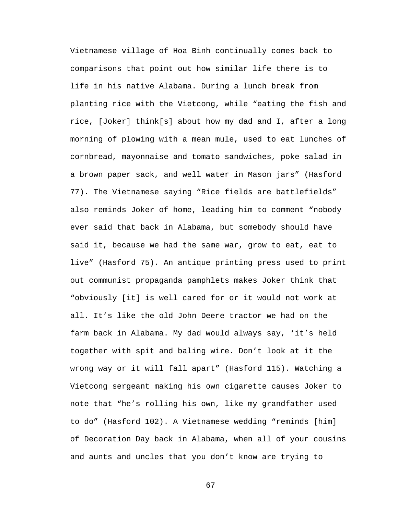Vietnamese village of Hoa Binh continually comes back to comparisons that point out how similar life there is to life in his native Alabama. During a lunch break from planting rice with the Vietcong, while "eating the fish and rice, [Joker] think[s] about how my dad and I, after a long morning of plowing with a mean mule, used to eat lunches of cornbread, mayonnaise and tomato sandwiches, poke salad in a brown paper sack, and well water in Mason jars" (Hasford 77). The Vietnamese saying "Rice fields are battlefields" also reminds Joker of home, leading him to comment "nobody ever said that back in Alabama, but somebody should have said it, because we had the same war, grow to eat, eat to live" (Hasford 75). An antique printing press used to print out communist propaganda pamphlets makes Joker think that "obviously [it] is well cared for or it would not work at all. It's like the old John Deere tractor we had on the farm back in Alabama. My dad would always say, 'it's held together with spit and baling wire. Don't look at it the wrong way or it will fall apart" (Hasford 115). Watching a Vietcong sergeant making his own cigarette causes Joker to note that "he's rolling his own, like my grandfather used to do" (Hasford 102). A Vietnamese wedding "reminds [him] of Decoration Day back in Alabama, when all of your cousins and aunts and uncles that you don't know are trying to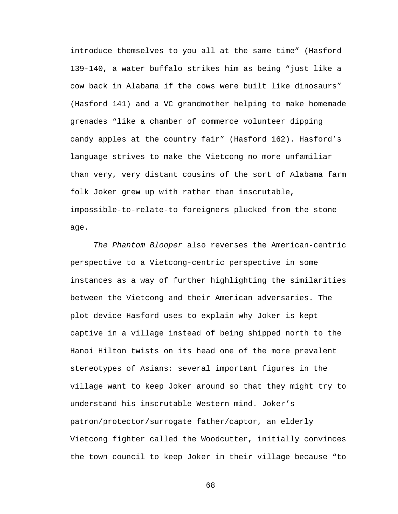introduce themselves to you all at the same time" (Hasford 139-140, a water buffalo strikes him as being "just like a cow back in Alabama if the cows were built like dinosaurs" (Hasford 141) and a VC grandmother helping to make homemade grenades "like a chamber of commerce volunteer dipping candy apples at the country fair" (Hasford 162). Hasford's language strives to make the Vietcong no more unfamiliar than very, very distant cousins of the sort of Alabama farm folk Joker grew up with rather than inscrutable, impossible-to-relate-to foreigners plucked from the stone age.

The Phantom Blooper also reverses the American-centric perspective to a Vietcong-centric perspective in some instances as a way of further highlighting the similarities between the Vietcong and their American adversaries. The plot device Hasford uses to explain why Joker is kept captive in a village instead of being shipped north to the Hanoi Hilton twists on its head one of the more prevalent stereotypes of Asians: several important figures in the village want to keep Joker around so that they might try to understand his inscrutable Western mind. Joker's patron/protector/surrogate father/captor, an elderly Vietcong fighter called the Woodcutter, initially convinces the town council to keep Joker in their village because "to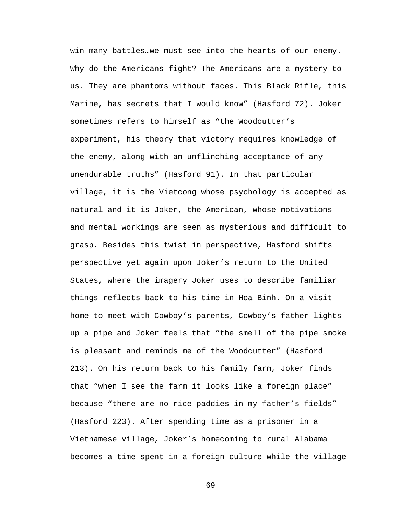win many battles…we must see into the hearts of our enemy. Why do the Americans fight? The Americans are a mystery to us. They are phantoms without faces. This Black Rifle, this Marine, has secrets that I would know" (Hasford 72). Joker sometimes refers to himself as "the Woodcutter's experiment, his theory that victory requires knowledge of the enemy, along with an unflinching acceptance of any unendurable truths" (Hasford 91). In that particular village, it is the Vietcong whose psychology is accepted as natural and it is Joker, the American, whose motivations and mental workings are seen as mysterious and difficult to grasp. Besides this twist in perspective, Hasford shifts perspective yet again upon Joker's return to the United States, where the imagery Joker uses to describe familiar things reflects back to his time in Hoa Binh. On a visit home to meet with Cowboy's parents, Cowboy's father lights up a pipe and Joker feels that "the smell of the pipe smoke is pleasant and reminds me of the Woodcutter" (Hasford 213). On his return back to his family farm, Joker finds that "when I see the farm it looks like a foreign place" because "there are no rice paddies in my father's fields" (Hasford 223). After spending time as a prisoner in a Vietnamese village, Joker's homecoming to rural Alabama becomes a time spent in a foreign culture while the village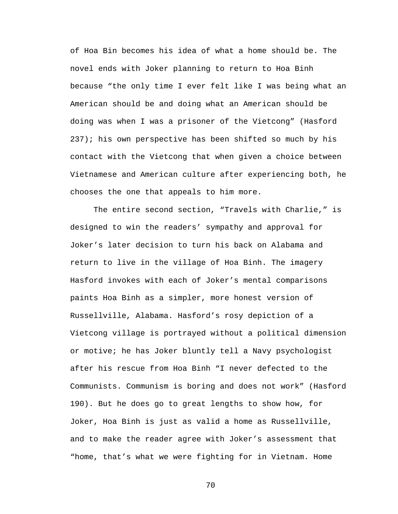of Hoa Bin becomes his idea of what a home should be. The novel ends with Joker planning to return to Hoa Binh because "the only time I ever felt like I was being what an American should be and doing what an American should be doing was when I was a prisoner of the Vietcong" (Hasford 237); his own perspective has been shifted so much by his contact with the Vietcong that when given a choice between Vietnamese and American culture after experiencing both, he chooses the one that appeals to him more.

 The entire second section, "Travels with Charlie," is designed to win the readers' sympathy and approval for Joker's later decision to turn his back on Alabama and return to live in the village of Hoa Binh. The imagery Hasford invokes with each of Joker's mental comparisons paints Hoa Binh as a simpler, more honest version of Russellville, Alabama. Hasford's rosy depiction of a Vietcong village is portrayed without a political dimension or motive; he has Joker bluntly tell a Navy psychologist after his rescue from Hoa Binh "I never defected to the Communists. Communism is boring and does not work" (Hasford 190). But he does go to great lengths to show how, for Joker, Hoa Binh is just as valid a home as Russellville, and to make the reader agree with Joker's assessment that "home, that's what we were fighting for in Vietnam. Home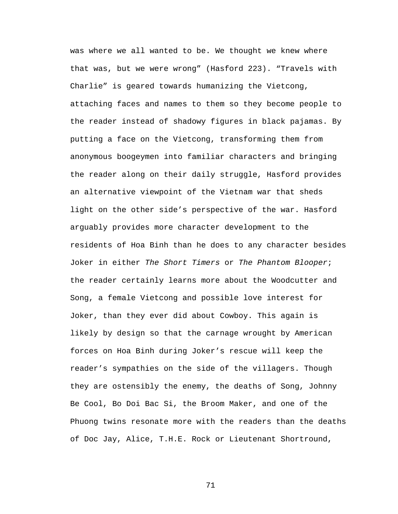was where we all wanted to be. We thought we knew where that was, but we were wrong" (Hasford 223). "Travels with Charlie" is geared towards humanizing the Vietcong, attaching faces and names to them so they become people to the reader instead of shadowy figures in black pajamas. By putting a face on the Vietcong, transforming them from anonymous boogeymen into familiar characters and bringing the reader along on their daily struggle, Hasford provides an alternative viewpoint of the Vietnam war that sheds light on the other side's perspective of the war. Hasford arguably provides more character development to the residents of Hoa Binh than he does to any character besides Joker in either The Short Timers or The Phantom Blooper; the reader certainly learns more about the Woodcutter and Song, a female Vietcong and possible love interest for Joker, than they ever did about Cowboy. This again is likely by design so that the carnage wrought by American forces on Hoa Binh during Joker's rescue will keep the reader's sympathies on the side of the villagers. Though they are ostensibly the enemy, the deaths of Song, Johnny Be Cool, Bo Doi Bac Si, the Broom Maker, and one of the Phuong twins resonate more with the readers than the deaths of Doc Jay, Alice, T.H.E. Rock or Lieutenant Shortround,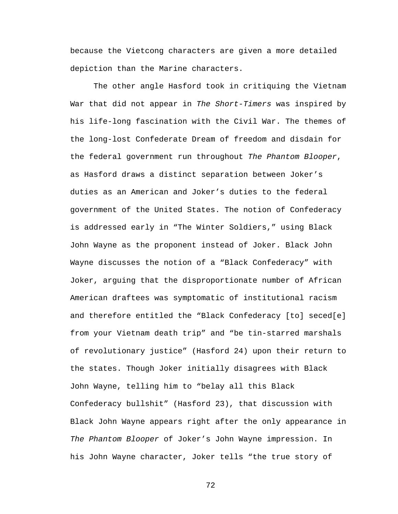because the Vietcong characters are given a more detailed depiction than the Marine characters.

 The other angle Hasford took in critiquing the Vietnam War that did not appear in The Short-Timers was inspired by his life-long fascination with the Civil War. The themes of the long-lost Confederate Dream of freedom and disdain for the federal government run throughout The Phantom Blooper, as Hasford draws a distinct separation between Joker's duties as an American and Joker's duties to the federal government of the United States. The notion of Confederacy is addressed early in "The Winter Soldiers," using Black John Wayne as the proponent instead of Joker. Black John Wayne discusses the notion of a "Black Confederacy" with Joker, arguing that the disproportionate number of African American draftees was symptomatic of institutional racism and therefore entitled the "Black Confederacy [to] seced[e] from your Vietnam death trip" and "be tin-starred marshals of revolutionary justice" (Hasford 24) upon their return to the states. Though Joker initially disagrees with Black John Wayne, telling him to "belay all this Black Confederacy bullshit" (Hasford 23), that discussion with Black John Wayne appears right after the only appearance in The Phantom Blooper of Joker's John Wayne impression. In his John Wayne character, Joker tells "the true story of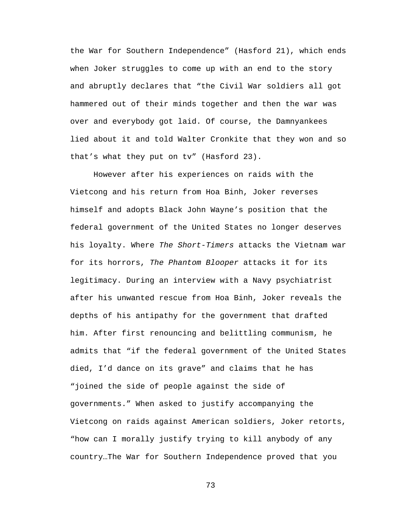the War for Southern Independence" (Hasford 21), which ends when Joker struggles to come up with an end to the story and abruptly declares that "the Civil War soldiers all got hammered out of their minds together and then the war was over and everybody got laid. Of course, the Damnyankees lied about it and told Walter Cronkite that they won and so that's what they put on tv" (Hasford 23).

 However after his experiences on raids with the Vietcong and his return from Hoa Binh, Joker reverses himself and adopts Black John Wayne's position that the federal government of the United States no longer deserves his loyalty. Where The Short-Timers attacks the Vietnam war for its horrors, The Phantom Blooper attacks it for its legitimacy. During an interview with a Navy psychiatrist after his unwanted rescue from Hoa Binh, Joker reveals the depths of his antipathy for the government that drafted him. After first renouncing and belittling communism, he admits that "if the federal government of the United States died, I'd dance on its grave" and claims that he has "joined the side of people against the side of governments." When asked to justify accompanying the Vietcong on raids against American soldiers, Joker retorts, "how can I morally justify trying to kill anybody of any country…The War for Southern Independence proved that you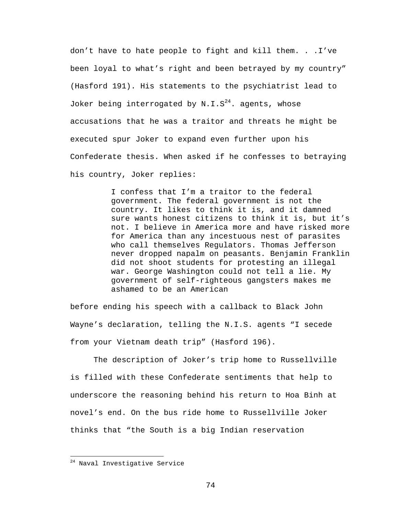don't have to hate people to fight and kill them. . .I've been loyal to what's right and been betrayed by my country" (Hasford 191). His statements to the psychiatrist lead to Joker being interrogated by  $N.I.S<sup>24</sup>$ . agents, whose accusations that he was a traitor and threats he might be executed spur Joker to expand even further upon his Confederate thesis. When asked if he confesses to betraying his country, Joker replies:

> I confess that I'm a traitor to the federal government. The federal government is not the country. It likes to think it is, and it damned sure wants honest citizens to think it is, but it's not. I believe in America more and have risked more for America than any incestuous nest of parasites who call themselves Regulators. Thomas Jefferson never dropped napalm on peasants. Benjamin Franklin did not shoot students for protesting an illegal war. George Washington could not tell a lie. My government of self-righteous gangsters makes me ashamed to be an American

before ending his speech with a callback to Black John Wayne's declaration, telling the N.I.S. agents "I secede from your Vietnam death trip" (Hasford 196).

 The description of Joker's trip home to Russellville is filled with these Confederate sentiments that help to underscore the reasoning behind his return to Hoa Binh at novel's end. On the bus ride home to Russellville Joker thinks that "the South is a big Indian reservation

 $\overline{a}$ 

<sup>24</sup> Naval Investigative Service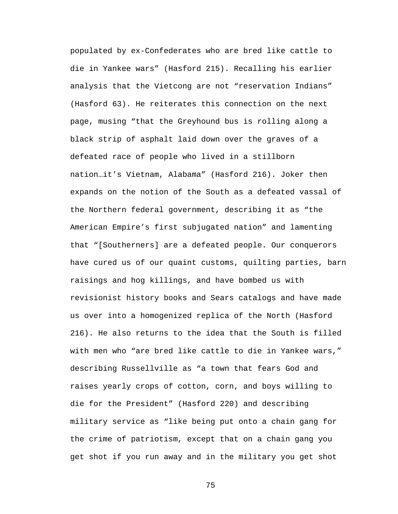populated by ex-Confederates who are bred like cattle to die in Yankee wars" (Hasford 215). Recalling his earlier analysis that the Vietcong are not "reservation Indians" (Hasford 63). He reiterates this connection on the next page, musing "that the Greyhound bus is rolling along a black strip of asphalt laid down over the graves of a defeated race of people who lived in a stillborn nation…it's Vietnam, Alabama" (Hasford 216). Joker then expands on the notion of the South as a defeated vassal of the Northern federal government, describing it as "the American Empire's first subjugated nation" and lamenting that "[Southerners] are a defeated people. Our conquerors have cured us of our quaint customs, quilting parties, barn raisings and hog killings, and have bombed us with revisionist history books and Sears catalogs and have made us over into a homogenized replica of the North (Hasford 216). He also returns to the idea that the South is filled with men who "are bred like cattle to die in Yankee wars," describing Russellville as "a town that fears God and raises yearly crops of cotton, corn, and boys willing to die for the President" (Hasford 220) and describing military service as "like being put onto a chain gang for the crime of patriotism, except that on a chain gang you get shot if you run away and in the military you get shot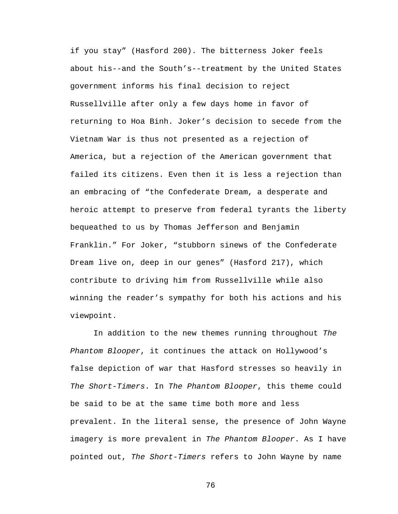if you stay" (Hasford 200). The bitterness Joker feels about his--and the South's--treatment by the United States government informs his final decision to reject Russellville after only a few days home in favor of returning to Hoa Binh. Joker's decision to secede from the Vietnam War is thus not presented as a rejection of America, but a rejection of the American government that failed its citizens. Even then it is less a rejection than an embracing of "the Confederate Dream, a desperate and heroic attempt to preserve from federal tyrants the liberty bequeathed to us by Thomas Jefferson and Benjamin Franklin." For Joker, "stubborn sinews of the Confederate Dream live on, deep in our genes" (Hasford 217), which contribute to driving him from Russellville while also winning the reader's sympathy for both his actions and his viewpoint.

 In addition to the new themes running throughout The Phantom Blooper, it continues the attack on Hollywood's false depiction of war that Hasford stresses so heavily in The Short-Timers. In The Phantom Blooper, this theme could be said to be at the same time both more and less prevalent. In the literal sense, the presence of John Wayne imagery is more prevalent in The Phantom Blooper. As I have pointed out, The Short-Timers refers to John Wayne by name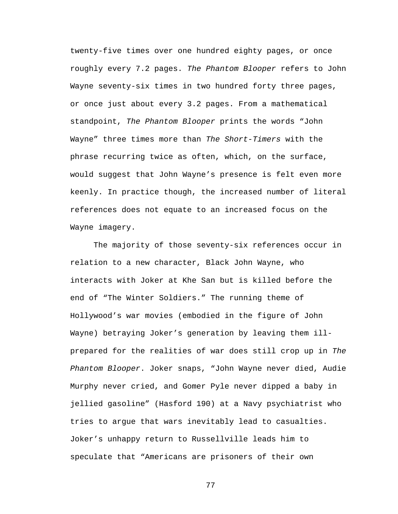twenty-five times over one hundred eighty pages, or once roughly every 7.2 pages. The Phantom Blooper refers to John Wayne seventy-six times in two hundred forty three pages, or once just about every 3.2 pages. From a mathematical standpoint, The Phantom Blooper prints the words "John Wayne" three times more than The Short-Timers with the phrase recurring twice as often, which, on the surface, would suggest that John Wayne's presence is felt even more keenly. In practice though, the increased number of literal references does not equate to an increased focus on the Wayne imagery.

The majority of those seventy-six references occur in relation to a new character, Black John Wayne, who interacts with Joker at Khe San but is killed before the end of "The Winter Soldiers." The running theme of Hollywood's war movies (embodied in the figure of John Wayne) betraying Joker's generation by leaving them illprepared for the realities of war does still crop up in The Phantom Blooper. Joker snaps, "John Wayne never died, Audie Murphy never cried, and Gomer Pyle never dipped a baby in jellied gasoline" (Hasford 190) at a Navy psychiatrist who tries to argue that wars inevitably lead to casualties. Joker's unhappy return to Russellville leads him to speculate that "Americans are prisoners of their own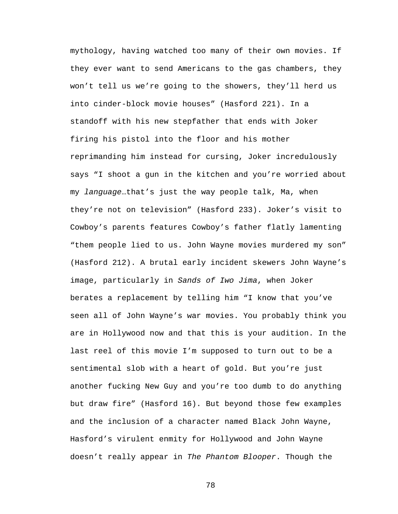mythology, having watched too many of their own movies. If they ever want to send Americans to the gas chambers, they won't tell us we're going to the showers, they'll herd us into cinder-block movie houses" (Hasford 221). In a standoff with his new stepfather that ends with Joker firing his pistol into the floor and his mother reprimanding him instead for cursing, Joker incredulously says "I shoot a gun in the kitchen and you're worried about my language…that's just the way people talk, Ma, when they're not on television" (Hasford 233). Joker's visit to Cowboy's parents features Cowboy's father flatly lamenting "them people lied to us. John Wayne movies murdered my son" (Hasford 212). A brutal early incident skewers John Wayne's image, particularly in Sands of Iwo Jima, when Joker berates a replacement by telling him "I know that you've seen all of John Wayne's war movies. You probably think you are in Hollywood now and that this is your audition. In the last reel of this movie I'm supposed to turn out to be a sentimental slob with a heart of gold. But you're just another fucking New Guy and you're too dumb to do anything but draw fire" (Hasford 16). But beyond those few examples and the inclusion of a character named Black John Wayne, Hasford's virulent enmity for Hollywood and John Wayne doesn't really appear in The Phantom Blooper. Though the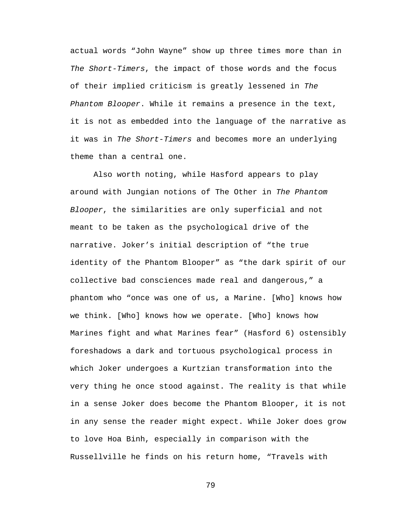actual words "John Wayne" show up three times more than in The Short-Timers, the impact of those words and the focus of their implied criticism is greatly lessened in The Phantom Blooper. While it remains a presence in the text, it is not as embedded into the language of the narrative as it was in The Short-Timers and becomes more an underlying theme than a central one.

 Also worth noting, while Hasford appears to play around with Jungian notions of The Other in The Phantom Blooper, the similarities are only superficial and not meant to be taken as the psychological drive of the narrative. Joker's initial description of "the true identity of the Phantom Blooper" as "the dark spirit of our collective bad consciences made real and dangerous," a phantom who "once was one of us, a Marine. [Who] knows how we think. [Who] knows how we operate. [Who] knows how Marines fight and what Marines fear" (Hasford 6) ostensibly foreshadows a dark and tortuous psychological process in which Joker undergoes a Kurtzian transformation into the very thing he once stood against. The reality is that while in a sense Joker does become the Phantom Blooper, it is not in any sense the reader might expect. While Joker does grow to love Hoa Binh, especially in comparison with the Russellville he finds on his return home, "Travels with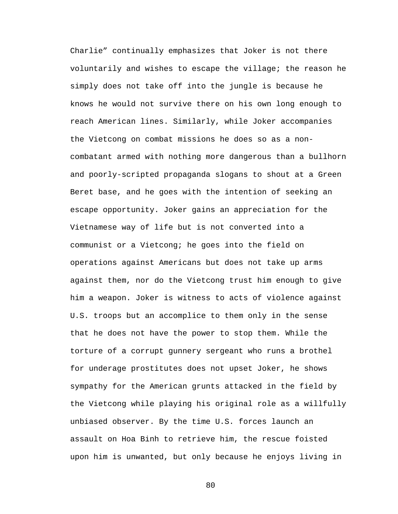Charlie" continually emphasizes that Joker is not there voluntarily and wishes to escape the village; the reason he simply does not take off into the jungle is because he knows he would not survive there on his own long enough to reach American lines. Similarly, while Joker accompanies the Vietcong on combat missions he does so as a noncombatant armed with nothing more dangerous than a bullhorn and poorly-scripted propaganda slogans to shout at a Green Beret base, and he goes with the intention of seeking an escape opportunity. Joker gains an appreciation for the Vietnamese way of life but is not converted into a communist or a Vietcong; he goes into the field on operations against Americans but does not take up arms against them, nor do the Vietcong trust him enough to give him a weapon. Joker is witness to acts of violence against U.S. troops but an accomplice to them only in the sense that he does not have the power to stop them. While the torture of a corrupt gunnery sergeant who runs a brothel for underage prostitutes does not upset Joker, he shows sympathy for the American grunts attacked in the field by the Vietcong while playing his original role as a willfully unbiased observer. By the time U.S. forces launch an assault on Hoa Binh to retrieve him, the rescue foisted upon him is unwanted, but only because he enjoys living in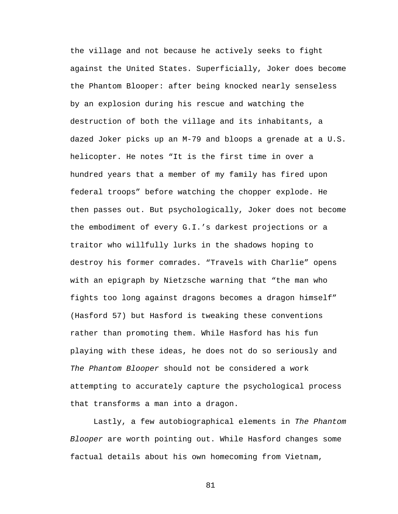the village and not because he actively seeks to fight against the United States. Superficially, Joker does become the Phantom Blooper: after being knocked nearly senseless by an explosion during his rescue and watching the destruction of both the village and its inhabitants, a dazed Joker picks up an M-79 and bloops a grenade at a U.S. helicopter. He notes "It is the first time in over a hundred years that a member of my family has fired upon federal troops" before watching the chopper explode. He then passes out. But psychologically, Joker does not become the embodiment of every G.I.'s darkest projections or a traitor who willfully lurks in the shadows hoping to destroy his former comrades. "Travels with Charlie" opens with an epigraph by Nietzsche warning that "the man who fights too long against dragons becomes a dragon himself" (Hasford 57) but Hasford is tweaking these conventions rather than promoting them. While Hasford has his fun playing with these ideas, he does not do so seriously and The Phantom Blooper should not be considered a work attempting to accurately capture the psychological process that transforms a man into a dragon.

 Lastly, a few autobiographical elements in The Phantom Blooper are worth pointing out. While Hasford changes some factual details about his own homecoming from Vietnam,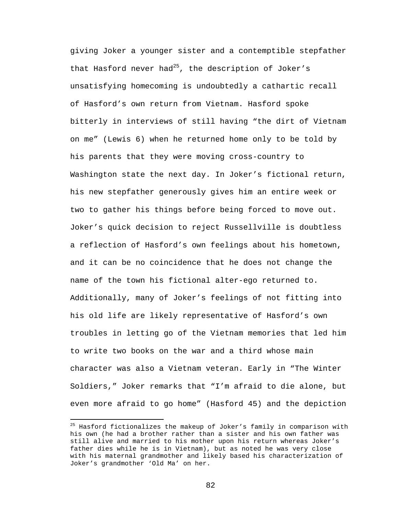giving Joker a younger sister and a contemptible stepfather that Hasford never had<sup>25</sup>, the description of Joker's unsatisfying homecoming is undoubtedly a cathartic recall of Hasford's own return from Vietnam. Hasford spoke bitterly in interviews of still having "the dirt of Vietnam on me" (Lewis 6) when he returned home only to be told by his parents that they were moving cross-country to Washington state the next day. In Joker's fictional return, his new stepfather generously gives him an entire week or two to gather his things before being forced to move out. Joker's quick decision to reject Russellville is doubtless a reflection of Hasford's own feelings about his hometown, and it can be no coincidence that he does not change the name of the town his fictional alter-ego returned to. Additionally, many of Joker's feelings of not fitting into his old life are likely representative of Hasford's own troubles in letting go of the Vietnam memories that led him to write two books on the war and a third whose main character was also a Vietnam veteran. Early in "The Winter Soldiers," Joker remarks that "I'm afraid to die alone, but even more afraid to go home" (Hasford 45) and the depiction

<u>.</u>

<sup>&</sup>lt;sup>25</sup> Hasford fictionalizes the makeup of Joker's family in comparison with his own (he had a brother rather than a sister and his own father was still alive and married to his mother upon his return whereas Joker's father dies while he is in Vietnam), but as noted he was very close with his maternal grandmother and likely based his characterization of Joker's grandmother 'Old Ma' on her.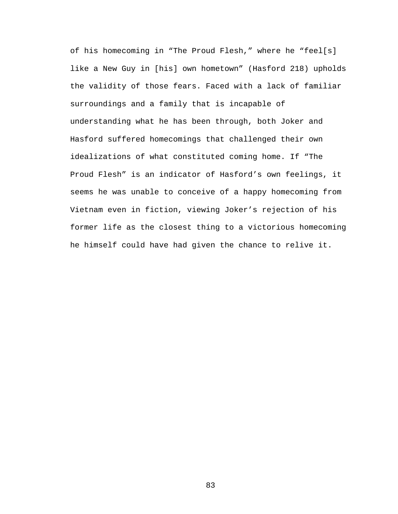of his homecoming in "The Proud Flesh," where he "feel[s] like a New Guy in [his] own hometown" (Hasford 218) upholds the validity of those fears. Faced with a lack of familiar surroundings and a family that is incapable of understanding what he has been through, both Joker and Hasford suffered homecomings that challenged their own idealizations of what constituted coming home. If "The Proud Flesh" is an indicator of Hasford's own feelings, it seems he was unable to conceive of a happy homecoming from Vietnam even in fiction, viewing Joker's rejection of his former life as the closest thing to a victorious homecoming he himself could have had given the chance to relive it.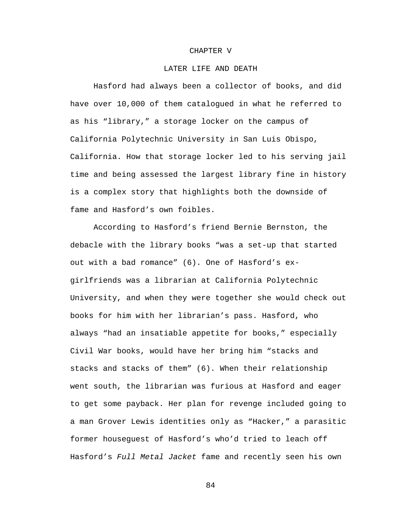## CHAPTER V

## LATER LIFE AND DEATH

Hasford had always been a collector of books, and did have over 10,000 of them catalogued in what he referred to as his "library," a storage locker on the campus of California Polytechnic University in San Luis Obispo, California. How that storage locker led to his serving jail time and being assessed the largest library fine in history is a complex story that highlights both the downside of fame and Hasford's own foibles.

According to Hasford's friend Bernie Bernston, the debacle with the library books "was a set-up that started out with a bad romance" (6). One of Hasford's exgirlfriends was a librarian at California Polytechnic University, and when they were together she would check out books for him with her librarian's pass. Hasford, who always "had an insatiable appetite for books," especially Civil War books, would have her bring him "stacks and stacks and stacks of them" (6). When their relationship went south, the librarian was furious at Hasford and eager to get some payback. Her plan for revenge included going to a man Grover Lewis identities only as "Hacker," a parasitic former houseguest of Hasford's who'd tried to leach off Hasford's Full Metal Jacket fame and recently seen his own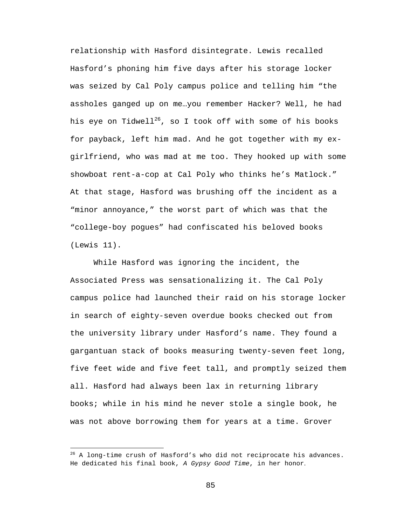relationship with Hasford disintegrate. Lewis recalled Hasford's phoning him five days after his storage locker was seized by Cal Poly campus police and telling him "the assholes ganged up on me…you remember Hacker? Well, he had his eye on Tidwell<sup>26</sup>, so I took off with some of his books for payback, left him mad. And he got together with my exgirlfriend, who was mad at me too. They hooked up with some showboat rent-a-cop at Cal Poly who thinks he's Matlock." At that stage, Hasford was brushing off the incident as a "minor annoyance," the worst part of which was that the "college-boy pogues" had confiscated his beloved books (Lewis 11).

While Hasford was ignoring the incident, the Associated Press was sensationalizing it. The Cal Poly campus police had launched their raid on his storage locker in search of eighty-seven overdue books checked out from the university library under Hasford's name. They found a gargantuan stack of books measuring twenty-seven feet long, five feet wide and five feet tall, and promptly seized them all. Hasford had always been lax in returning library books; while in his mind he never stole a single book, he was not above borrowing them for years at a time. Grover

 $\overline{a}$ 

 $26$  A long-time crush of Hasford's who did not reciprocate his advances. He dedicated his final book, A Gypsy Good Time, in her honor.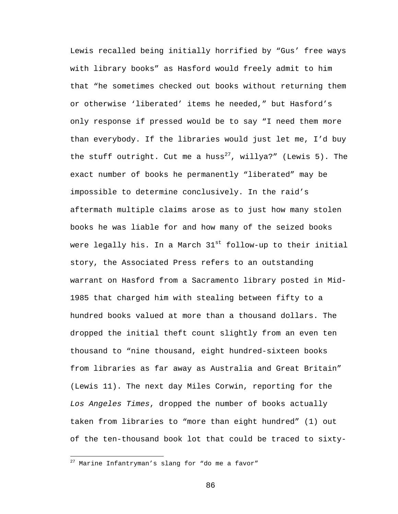Lewis recalled being initially horrified by "Gus' free ways with library books" as Hasford would freely admit to him that "he sometimes checked out books without returning them or otherwise 'liberated' items he needed," but Hasford's only response if pressed would be to say "I need them more than everybody. If the libraries would just let me, I'd buy the stuff outright. Cut me a huss<sup>27</sup>, willya?" (Lewis 5). The exact number of books he permanently "liberated" may be impossible to determine conclusively. In the raid's aftermath multiple claims arose as to just how many stolen books he was liable for and how many of the seized books were legally his. In a March  $31^{st}$  follow-up to their initial story, the Associated Press refers to an outstanding warrant on Hasford from a Sacramento library posted in Mid-1985 that charged him with stealing between fifty to a hundred books valued at more than a thousand dollars. The dropped the initial theft count slightly from an even ten thousand to "nine thousand, eight hundred-sixteen books from libraries as far away as Australia and Great Britain" (Lewis 11). The next day Miles Corwin, reporting for the Los Angeles Times, dropped the number of books actually taken from libraries to "more than eight hundred" (1) out of the ten-thousand book lot that could be traced to sixty-

 $\overline{a}$ 

 $27$  Marine Infantryman's slang for "do me a favor"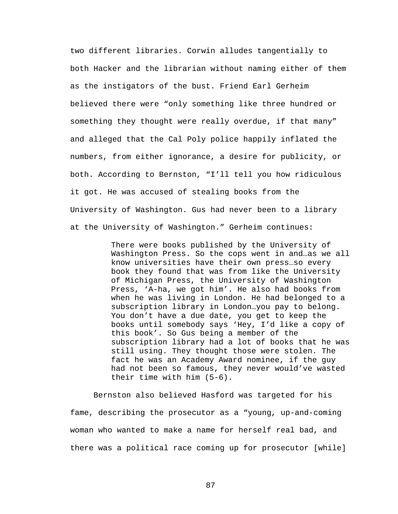two different libraries. Corwin alludes tangentially to both Hacker and the librarian without naming either of them as the instigators of the bust. Friend Earl Gerheim believed there were "only something like three hundred or something they thought were really overdue, if that many" and alleged that the Cal Poly police happily inflated the numbers, from either ignorance, a desire for publicity, or both. According to Bernston, "I'll tell you how ridiculous it got. He was accused of stealing books from the University of Washington. Gus had never been to a library at the University of Washington." Gerheim continues:

> There were books published by the University of Washington Press. So the cops went in and…as we all know universities have their own press…so every book they found that was from like the University of Michigan Press, the University of Washington Press, 'A-ha, we got him'. He also had books from when he was living in London. He had belonged to a subscription library in London…you pay to belong. You don't have a due date, you get to keep the books until somebody says 'Hey, I'd like a copy of this book'. So Gus being a member of the subscription library had a lot of books that he was still using. They thought those were stolen. The fact he was an Academy Award nominee, if the guy had not been so famous, they never would've wasted their time with him (5-6).

 Bernston also believed Hasford was targeted for his fame, describing the prosecutor as a "young, up-and-coming woman who wanted to make a name for herself real bad, and there was a political race coming up for prosecutor [while]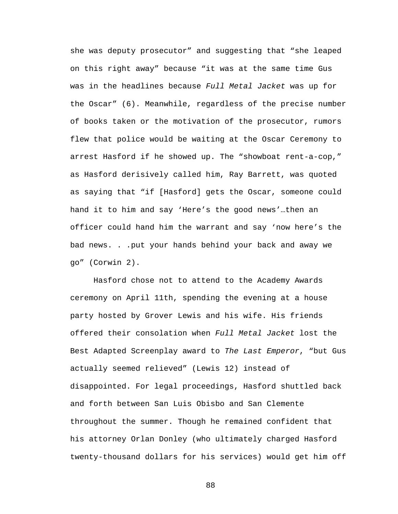she was deputy prosecutor" and suggesting that "she leaped on this right away" because "it was at the same time Gus was in the headlines because Full Metal Jacket was up for the Oscar" (6). Meanwhile, regardless of the precise number of books taken or the motivation of the prosecutor, rumors flew that police would be waiting at the Oscar Ceremony to arrest Hasford if he showed up. The "showboat rent-a-cop," as Hasford derisively called him, Ray Barrett, was quoted as saying that "if [Hasford] gets the Oscar, someone could hand it to him and say 'Here's the good news'…then an officer could hand him the warrant and say 'now here's the bad news. . .put your hands behind your back and away we go" (Corwin 2).

 Hasford chose not to attend to the Academy Awards ceremony on April 11th, spending the evening at a house party hosted by Grover Lewis and his wife. His friends offered their consolation when Full Metal Jacket lost the Best Adapted Screenplay award to The Last Emperor, "but Gus actually seemed relieved" (Lewis 12) instead of disappointed. For legal proceedings, Hasford shuttled back and forth between San Luis Obisbo and San Clemente throughout the summer. Though he remained confident that his attorney Orlan Donley (who ultimately charged Hasford twenty-thousand dollars for his services) would get him off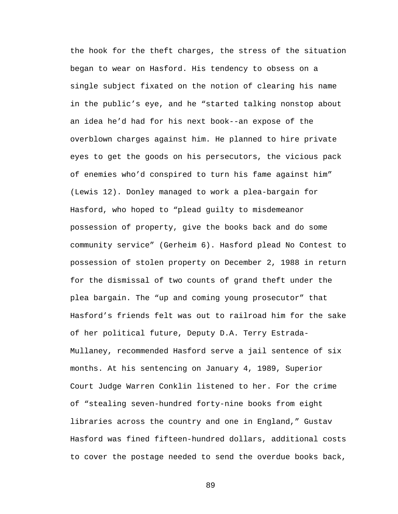the hook for the theft charges, the stress of the situation began to wear on Hasford. His tendency to obsess on a single subject fixated on the notion of clearing his name in the public's eye, and he "started talking nonstop about an idea he'd had for his next book--an expose of the overblown charges against him. He planned to hire private eyes to get the goods on his persecutors, the vicious pack of enemies who'd conspired to turn his fame against him" (Lewis 12). Donley managed to work a plea-bargain for Hasford, who hoped to "plead guilty to misdemeanor possession of property, give the books back and do some community service" (Gerheim 6). Hasford plead No Contest to possession of stolen property on December 2, 1988 in return for the dismissal of two counts of grand theft under the plea bargain. The "up and coming young prosecutor" that Hasford's friends felt was out to railroad him for the sake of her political future, Deputy D.A. Terry Estrada-Mullaney, recommended Hasford serve a jail sentence of six months. At his sentencing on January 4, 1989, Superior Court Judge Warren Conklin listened to her. For the crime of "stealing seven-hundred forty-nine books from eight libraries across the country and one in England," Gustav Hasford was fined fifteen-hundred dollars, additional costs to cover the postage needed to send the overdue books back,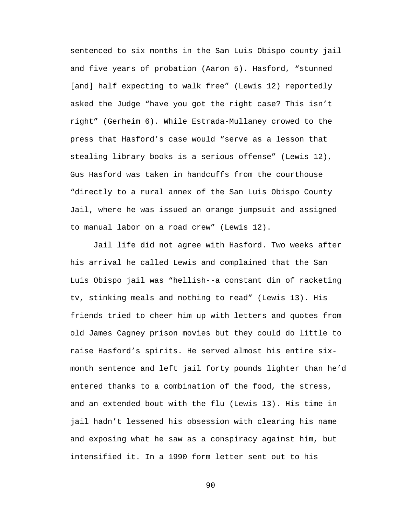sentenced to six months in the San Luis Obispo county jail and five years of probation (Aaron 5). Hasford, "stunned [and] half expecting to walk free" (Lewis 12) reportedly asked the Judge "have you got the right case? This isn't right" (Gerheim 6). While Estrada-Mullaney crowed to the press that Hasford's case would "serve as a lesson that stealing library books is a serious offense" (Lewis 12), Gus Hasford was taken in handcuffs from the courthouse "directly to a rural annex of the San Luis Obispo County Jail, where he was issued an orange jumpsuit and assigned to manual labor on a road crew" (Lewis 12).

 Jail life did not agree with Hasford. Two weeks after his arrival he called Lewis and complained that the San Luis Obispo jail was "hellish--a constant din of racketing tv, stinking meals and nothing to read" (Lewis 13). His friends tried to cheer him up with letters and quotes from old James Cagney prison movies but they could do little to raise Hasford's spirits. He served almost his entire sixmonth sentence and left jail forty pounds lighter than he'd entered thanks to a combination of the food, the stress, and an extended bout with the flu (Lewis 13). His time in jail hadn't lessened his obsession with clearing his name and exposing what he saw as a conspiracy against him, but intensified it. In a 1990 form letter sent out to his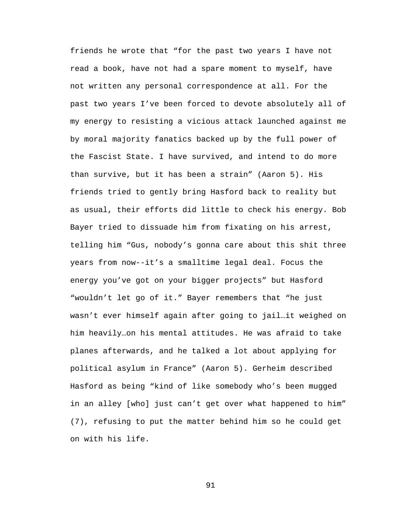friends he wrote that "for the past two years I have not read a book, have not had a spare moment to myself, have not written any personal correspondence at all. For the past two years I've been forced to devote absolutely all of my energy to resisting a vicious attack launched against me by moral majority fanatics backed up by the full power of the Fascist State. I have survived, and intend to do more than survive, but it has been a strain" (Aaron 5). His friends tried to gently bring Hasford back to reality but as usual, their efforts did little to check his energy. Bob Bayer tried to dissuade him from fixating on his arrest, telling him "Gus, nobody's gonna care about this shit three years from now--it's a smalltime legal deal. Focus the energy you've got on your bigger projects" but Hasford "wouldn't let go of it." Bayer remembers that "he just wasn't ever himself again after going to jail…it weighed on him heavily…on his mental attitudes. He was afraid to take planes afterwards, and he talked a lot about applying for political asylum in France" (Aaron 5). Gerheim described Hasford as being "kind of like somebody who's been mugged in an alley [who] just can't get over what happened to him" (7), refusing to put the matter behind him so he could get on with his life.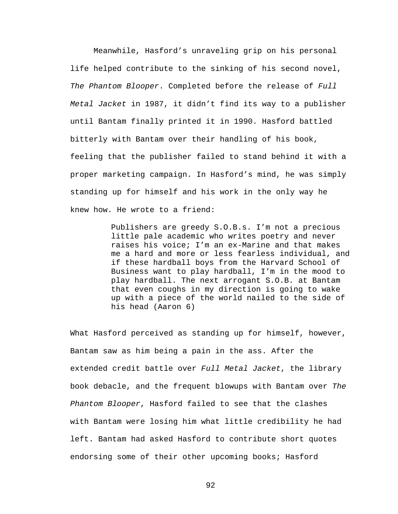Meanwhile, Hasford's unraveling grip on his personal life helped contribute to the sinking of his second novel, The Phantom Blooper. Completed before the release of Full Metal Jacket in 1987, it didn't find its way to a publisher until Bantam finally printed it in 1990. Hasford battled bitterly with Bantam over their handling of his book, feeling that the publisher failed to stand behind it with a proper marketing campaign. In Hasford's mind, he was simply standing up for himself and his work in the only way he knew how. He wrote to a friend:

> Publishers are greedy S.O.B.s. I'm not a precious little pale academic who writes poetry and never raises his voice; I'm an ex-Marine and that makes me a hard and more or less fearless individual, and if these hardball boys from the Harvard School of Business want to play hardball, I'm in the mood to play hardball. The next arrogant S.O.B. at Bantam that even coughs in my direction is going to wake up with a piece of the world nailed to the side of his head (Aaron 6)

What Hasford perceived as standing up for himself, however, Bantam saw as him being a pain in the ass. After the extended credit battle over Full Metal Jacket, the library book debacle, and the frequent blowups with Bantam over The Phantom Blooper, Hasford failed to see that the clashes with Bantam were losing him what little credibility he had left. Bantam had asked Hasford to contribute short quotes endorsing some of their other upcoming books; Hasford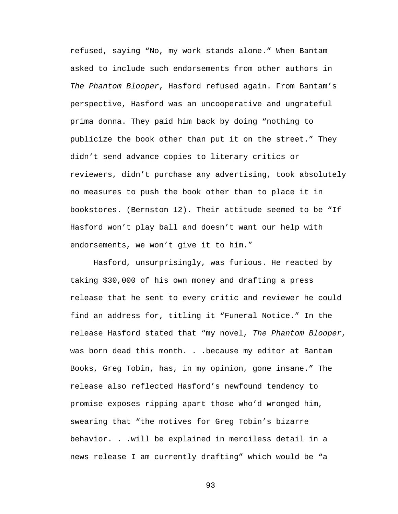refused, saying "No, my work stands alone." When Bantam asked to include such endorsements from other authors in The Phantom Blooper, Hasford refused again. From Bantam's perspective, Hasford was an uncooperative and ungrateful prima donna. They paid him back by doing "nothing to publicize the book other than put it on the street." They didn't send advance copies to literary critics or reviewers, didn't purchase any advertising, took absolutely no measures to push the book other than to place it in bookstores. (Bernston 12). Their attitude seemed to be "If Hasford won't play ball and doesn't want our help with endorsements, we won't give it to him."

Hasford, unsurprisingly, was furious. He reacted by taking \$30,000 of his own money and drafting a press release that he sent to every critic and reviewer he could find an address for, titling it "Funeral Notice." In the release Hasford stated that "my novel, The Phantom Blooper, was born dead this month. . .because my editor at Bantam Books, Greg Tobin, has, in my opinion, gone insane." The release also reflected Hasford's newfound tendency to promise exposes ripping apart those who'd wronged him, swearing that "the motives for Greg Tobin's bizarre behavior. . .will be explained in merciless detail in a news release I am currently drafting" which would be "a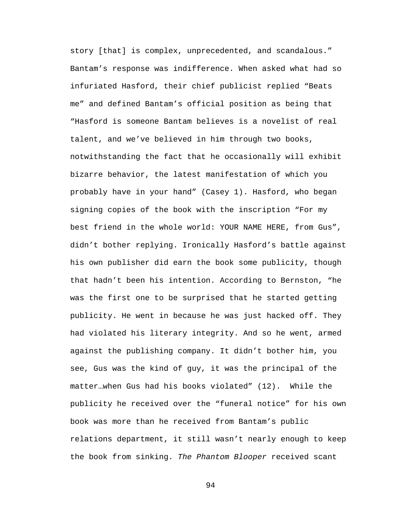story [that] is complex, unprecedented, and scandalous." Bantam's response was indifference. When asked what had so infuriated Hasford, their chief publicist replied "Beats me" and defined Bantam's official position as being that "Hasford is someone Bantam believes is a novelist of real talent, and we've believed in him through two books, notwithstanding the fact that he occasionally will exhibit bizarre behavior, the latest manifestation of which you probably have in your hand" (Casey 1). Hasford, who began signing copies of the book with the inscription "For my best friend in the whole world: YOUR NAME HERE, from Gus", didn't bother replying. Ironically Hasford's battle against his own publisher did earn the book some publicity, though that hadn't been his intention. According to Bernston, "he was the first one to be surprised that he started getting publicity. He went in because he was just hacked off. They had violated his literary integrity. And so he went, armed against the publishing company. It didn't bother him, you see, Gus was the kind of guy, it was the principal of the matter…when Gus had his books violated" (12). While the publicity he received over the "funeral notice" for his own book was more than he received from Bantam's public relations department, it still wasn't nearly enough to keep the book from sinking. The Phantom Blooper received scant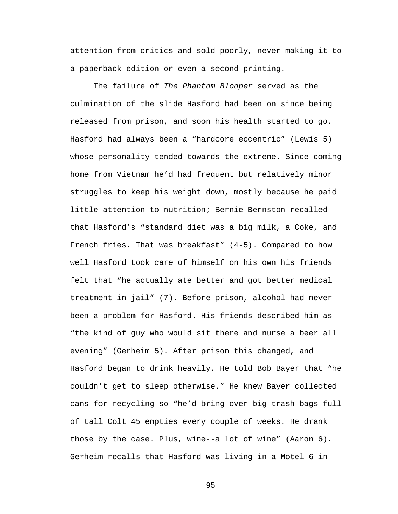attention from critics and sold poorly, never making it to a paperback edition or even a second printing.

The failure of The Phantom Blooper served as the culmination of the slide Hasford had been on since being released from prison, and soon his health started to go. Hasford had always been a "hardcore eccentric" (Lewis 5) whose personality tended towards the extreme. Since coming home from Vietnam he'd had frequent but relatively minor struggles to keep his weight down, mostly because he paid little attention to nutrition; Bernie Bernston recalled that Hasford's "standard diet was a big milk, a Coke, and French fries. That was breakfast" (4-5). Compared to how well Hasford took care of himself on his own his friends felt that "he actually ate better and got better medical treatment in jail" (7). Before prison, alcohol had never been a problem for Hasford. His friends described him as "the kind of guy who would sit there and nurse a beer all evening" (Gerheim 5). After prison this changed, and Hasford began to drink heavily. He told Bob Bayer that "he couldn't get to sleep otherwise." He knew Bayer collected cans for recycling so "he'd bring over big trash bags full of tall Colt 45 empties every couple of weeks. He drank those by the case. Plus, wine--a lot of wine" (Aaron 6). Gerheim recalls that Hasford was living in a Motel 6 in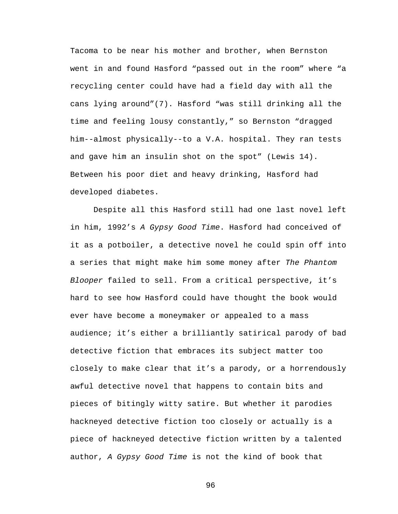Tacoma to be near his mother and brother, when Bernston went in and found Hasford "passed out in the room" where "a recycling center could have had a field day with all the cans lying around"(7). Hasford "was still drinking all the time and feeling lousy constantly," so Bernston "dragged him--almost physically--to a V.A. hospital. They ran tests and gave him an insulin shot on the spot" (Lewis 14). Between his poor diet and heavy drinking, Hasford had developed diabetes.

Despite all this Hasford still had one last novel left in him, 1992's A Gypsy Good Time. Hasford had conceived of it as a potboiler, a detective novel he could spin off into a series that might make him some money after The Phantom Blooper failed to sell. From a critical perspective, it's hard to see how Hasford could have thought the book would ever have become a moneymaker or appealed to a mass audience; it's either a brilliantly satirical parody of bad detective fiction that embraces its subject matter too closely to make clear that it's a parody, or a horrendously awful detective novel that happens to contain bits and pieces of bitingly witty satire. But whether it parodies hackneyed detective fiction too closely or actually is a piece of hackneyed detective fiction written by a talented author, A Gypsy Good Time is not the kind of book that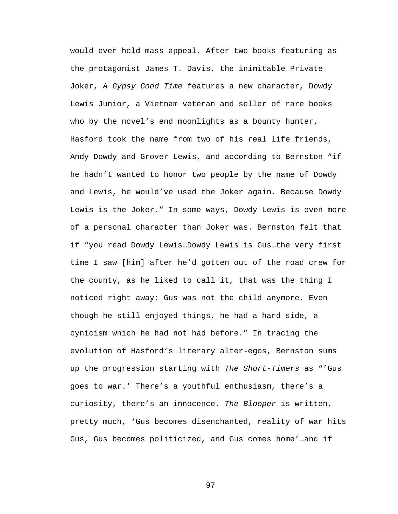would ever hold mass appeal. After two books featuring as the protagonist James T. Davis, the inimitable Private Joker, A Gypsy Good Time features a new character, Dowdy Lewis Junior, a Vietnam veteran and seller of rare books who by the novel's end moonlights as a bounty hunter. Hasford took the name from two of his real life friends, Andy Dowdy and Grover Lewis, and according to Bernston "if he hadn't wanted to honor two people by the name of Dowdy and Lewis, he would've used the Joker again. Because Dowdy Lewis is the Joker." In some ways, Dowdy Lewis is even more of a personal character than Joker was. Bernston felt that if "you read Dowdy Lewis…Dowdy Lewis is Gus…the very first time I saw [him] after he'd gotten out of the road crew for the county, as he liked to call it, that was the thing I noticed right away: Gus was not the child anymore. Even though he still enjoyed things, he had a hard side, a cynicism which he had not had before." In tracing the evolution of Hasford's literary alter-egos, Bernston sums up the progression starting with The Short-Timers as "'Gus goes to war.' There's a youthful enthusiasm, there's a curiosity, there's an innocence. The Blooper is written, pretty much, 'Gus becomes disenchanted, reality of war hits Gus, Gus becomes politicized, and Gus comes home'…and if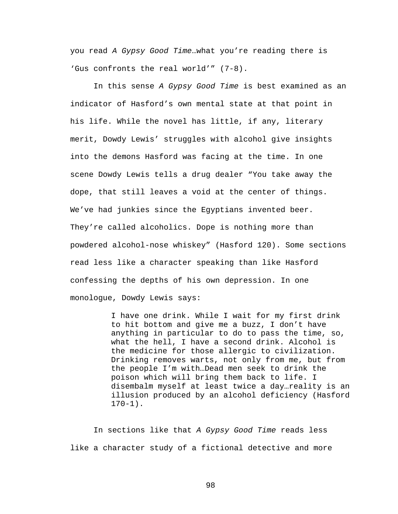you read A Gypsy Good Time…what you're reading there is 'Gus confronts the real world'" (7-8).

In this sense A Gypsy Good Time is best examined as an indicator of Hasford's own mental state at that point in his life. While the novel has little, if any, literary merit, Dowdy Lewis' struggles with alcohol give insights into the demons Hasford was facing at the time. In one scene Dowdy Lewis tells a drug dealer "You take away the dope, that still leaves a void at the center of things. We've had junkies since the Egyptians invented beer. They're called alcoholics. Dope is nothing more than powdered alcohol-nose whiskey" (Hasford 120). Some sections read less like a character speaking than like Hasford confessing the depths of his own depression. In one monologue, Dowdy Lewis says:

> I have one drink. While I wait for my first drink to hit bottom and give me a buzz, I don't have anything in particular to do to pass the time, so, what the hell, I have a second drink. Alcohol is the medicine for those allergic to civilization. Drinking removes warts, not only from me, but from the people I'm with…Dead men seek to drink the poison which will bring them back to life. I disembalm myself at least twice a day…reality is an illusion produced by an alcohol deficiency (Hasford  $170-1$ ).

In sections like that A Gypsy Good Time reads less like a character study of a fictional detective and more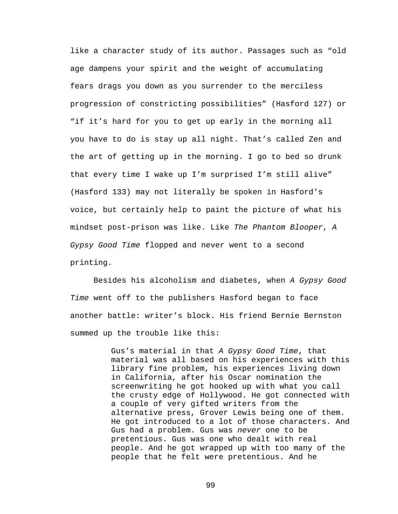like a character study of its author. Passages such as "old age dampens your spirit and the weight of accumulating fears drags you down as you surrender to the merciless progression of constricting possibilities" (Hasford 127) or "if it's hard for you to get up early in the morning all you have to do is stay up all night. That's called Zen and the art of getting up in the morning. I go to bed so drunk that every time I wake up I'm surprised I'm still alive" (Hasford 133) may not literally be spoken in Hasford's voice, but certainly help to paint the picture of what his mindset post-prison was like. Like The Phantom Blooper, A Gypsy Good Time flopped and never went to a second printing.

Besides his alcoholism and diabetes, when A Gypsy Good Time went off to the publishers Hasford began to face another battle: writer's block. His friend Bernie Bernston summed up the trouble like this:

> Gus's material in that A Gypsy Good Time, that material was all based on his experiences with this library fine problem, his experiences living down in California, after his Oscar nomination the screenwriting he got hooked up with what you call the crusty edge of Hollywood. He got connected with a couple of very gifted writers from the alternative press, Grover Lewis being one of them. He got introduced to a lot of those characters. And Gus had a problem. Gus was never one to be pretentious. Gus was one who dealt with real people. And he got wrapped up with too many of the people that he felt were pretentious. And he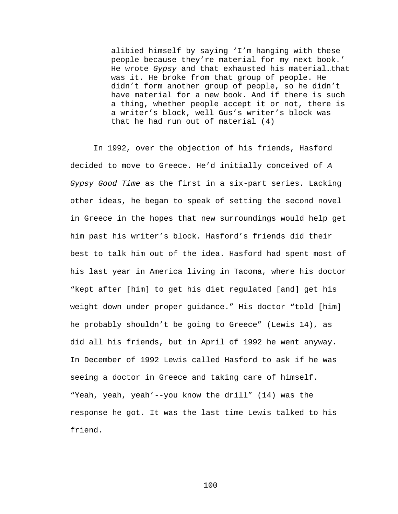alibied himself by saying 'I'm hanging with these people because they're material for my next book.' He wrote Gypsy and that exhausted his material…that was it. He broke from that group of people. He didn't form another group of people, so he didn't have material for a new book. And if there is such a thing, whether people accept it or not, there is a writer's block, well Gus's writer's block was that he had run out of material (4)

In 1992, over the objection of his friends, Hasford decided to move to Greece. He'd initially conceived of A Gypsy Good Time as the first in a six-part series. Lacking other ideas, he began to speak of setting the second novel in Greece in the hopes that new surroundings would help get him past his writer's block. Hasford's friends did their best to talk him out of the idea. Hasford had spent most of his last year in America living in Tacoma, where his doctor "kept after [him] to get his diet regulated [and] get his weight down under proper guidance." His doctor "told [him] he probably shouldn't be going to Greece" (Lewis 14), as did all his friends, but in April of 1992 he went anyway. In December of 1992 Lewis called Hasford to ask if he was seeing a doctor in Greece and taking care of himself. "Yeah, yeah, yeah'--you know the drill" (14) was the response he got. It was the last time Lewis talked to his friend.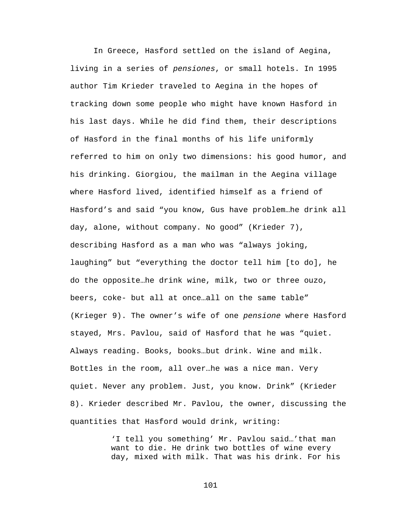In Greece, Hasford settled on the island of Aegina, living in a series of pensiones, or small hotels. In 1995 author Tim Krieder traveled to Aegina in the hopes of tracking down some people who might have known Hasford in his last days. While he did find them, their descriptions of Hasford in the final months of his life uniformly referred to him on only two dimensions: his good humor, and his drinking. Giorgiou, the mailman in the Aegina village where Hasford lived, identified himself as a friend of Hasford's and said "you know, Gus have problem…he drink all day, alone, without company. No good" (Krieder 7), describing Hasford as a man who was "always joking, laughing" but "everything the doctor tell him [to do], he do the opposite…he drink wine, milk, two or three ouzo, beers, coke- but all at once…all on the same table" (Krieger 9). The owner's wife of one pensione where Hasford stayed, Mrs. Pavlou, said of Hasford that he was "quiet. Always reading. Books, books…but drink. Wine and milk. Bottles in the room, all over…he was a nice man. Very quiet. Never any problem. Just, you know. Drink" (Krieder 8). Krieder described Mr. Pavlou, the owner, discussing the quantities that Hasford would drink, writing:

> 'I tell you something' Mr. Pavlou said…'that man want to die. He drink two bottles of wine every day, mixed with milk. That was his drink. For his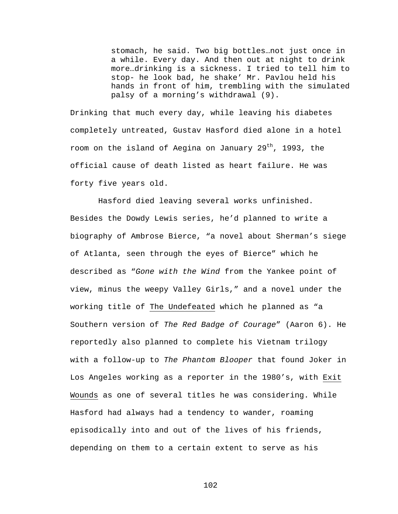stomach, he said. Two big bottles…not just once in a while. Every day. And then out at night to drink more…drinking is a sickness. I tried to tell him to stop- he look bad, he shake' Mr. Pavlou held his hands in front of him, trembling with the simulated palsy of a morning's withdrawal (9).

Drinking that much every day, while leaving his diabetes completely untreated, Gustav Hasford died alone in a hotel room on the island of Aegina on January 29<sup>th</sup>, 1993, the official cause of death listed as heart failure. He was forty five years old.

 Hasford died leaving several works unfinished. Besides the Dowdy Lewis series, he'd planned to write a biography of Ambrose Bierce, "a novel about Sherman's siege of Atlanta, seen through the eyes of Bierce" which he described as "Gone with the Wind from the Yankee point of view, minus the weepy Valley Girls," and a novel under the working title of The Undefeated which he planned as "a Southern version of The Red Badge of Courage" (Aaron 6). He reportedly also planned to complete his Vietnam trilogy with a follow-up to The Phantom Blooper that found Joker in Los Angeles working as a reporter in the 1980's, with Exit Wounds as one of several titles he was considering. While Hasford had always had a tendency to wander, roaming episodically into and out of the lives of his friends, depending on them to a certain extent to serve as his

102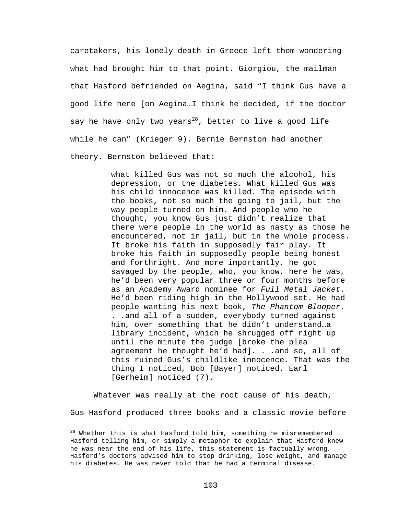caretakers, his lonely death in Greece left them wondering what had brought him to that point. Giorgiou, the mailman that Hasford befriended on Aegina, said "I think Gus have a good life here [on Aegina…I think he decided, if the doctor say he have only two years<sup>28</sup>, better to live a good life while he can" (Krieger 9). Bernie Bernston had another theory. Bernston believed that:

> what killed Gus was not so much the alcohol, his depression, or the diabetes. What killed Gus was his child innocence was killed. The episode with the books, not so much the going to jail, but the way people turned on him. And people who he thought, you know Gus just didn't realize that there were people in the world as nasty as those he encountered, not in jail, but in the whole process. It broke his faith in supposedly fair play. It broke his faith in supposedly people being honest and forthright. And more importantly, he got savaged by the people, who, you know, here he was, he'd been very popular three or four months before as an Academy Award nominee for Full Metal Jacket. He'd been riding high in the Hollywood set. He had people wanting his next book, The Phantom Blooper. . .and all of a sudden, everybody turned against him, over something that he didn't understand…a library incident, which he shrugged off right up until the minute the judge [broke the plea agreement he thought he'd had]. . .and so, all of this ruined Gus's childlike innocence. That was the thing I noticed, Bob [Bayer] noticed, Earl [Gerheim] noticed (7).

Whatever was really at the root cause of his death, Gus Hasford produced three books and a classic movie before

<u>.</u>

 $^{28}$  Whether this is what Hasford told him, something he misremembered Hasford telling him, or simply a metaphor to explain that Hasford knew he was near the end of his life, this statement is factually wrong. Hasford's doctors advised him to stop drinking, lose weight, and manage his diabetes. He was never told that he had a terminal disease.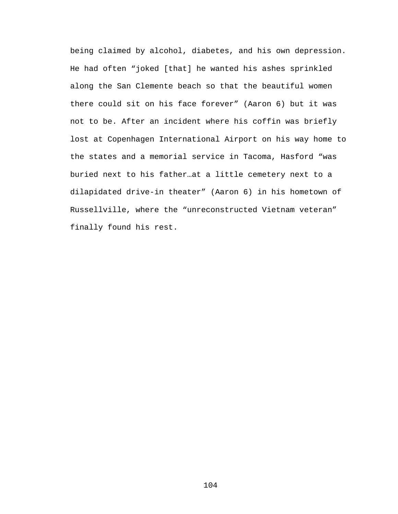being claimed by alcohol, diabetes, and his own depression. He had often "joked [that] he wanted his ashes sprinkled along the San Clemente beach so that the beautiful women there could sit on his face forever" (Aaron 6) but it was not to be. After an incident where his coffin was briefly lost at Copenhagen International Airport on his way home to the states and a memorial service in Tacoma, Hasford "was buried next to his father…at a little cemetery next to a dilapidated drive-in theater" (Aaron 6) in his hometown of Russellville, where the "unreconstructed Vietnam veteran" finally found his rest.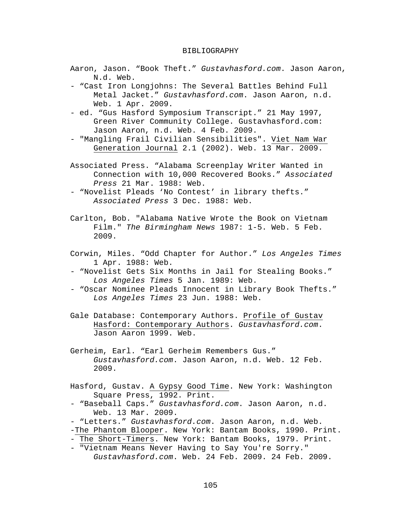## BIBLIOGRAPHY

- Aaron, Jason. "Book Theft." Gustavhasford.com. Jason Aaron, N.d. Web.
- "Cast Iron Longjohns: The Several Battles Behind Full Metal Jacket." Gustavhasford.com. Jason Aaron, n.d. Web. 1 Apr. 2009.
- ed. "Gus Hasford Symposium Transcript." 21 May 1997, Green River Community College. Gustavhasford.com: Jason Aaron, n.d. Web. 4 Feb. 2009.
- "Mangling Frail Civilian Sensibilities". Viet Nam War Generation Journal 2.1 (2002). Web. 13 Mar. 2009.
- Associated Press. "Alabama Screenplay Writer Wanted in Connection with 10,000 Recovered Books." Associated Press 21 Mar. 1988: Web.
- "Novelist Pleads 'No Contest' in library thefts." Associated Press 3 Dec. 1988: Web.
- Carlton, Bob. "Alabama Native Wrote the Book on Vietnam Film." The Birmingham News 1987: 1-5. Web. 5 Feb. 2009.
- Corwin, Miles. "Odd Chapter for Author." Los Angeles Times 1 Apr. 1988: Web.
- "Novelist Gets Six Months in Jail for Stealing Books." Los Angeles Times 5 Jan. 1989: Web.
- "Oscar Nominee Pleads Innocent in Library Book Thefts." Los Angeles Times 23 Jun. 1988: Web.
- Gale Database: Contemporary Authors. Profile of Gustav Hasford: Contemporary Authors. Gustavhasford.com. Jason Aaron 1999. Web.
- Gerheim, Earl. "Earl Gerheim Remembers Gus." Gustavhasford.com. Jason Aaron, n.d. Web. 12 Feb. 2009.
- Hasford, Gustav. A Gypsy Good Time. New York: Washington Square Press, 1992. Print.
- "Baseball Caps." Gustavhasford.com. Jason Aaron, n.d. Web. 13 Mar. 2009.
- "Letters." Gustavhasford.com. Jason Aaron, n.d. Web.
- -The Phantom Blooper. New York: Bantam Books, 1990. Print.
- The Short-Timers. New York: Bantam Books, 1979. Print.
- "Vietnam Means Never Having to Say You're Sorry." Gustavhasford.com. Web. 24 Feb. 2009. 24 Feb. 2009.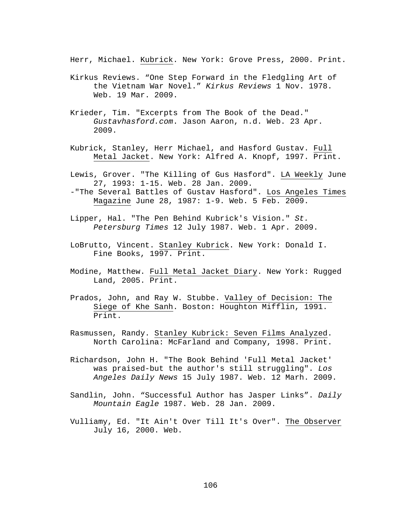Herr, Michael. Kubrick. New York: Grove Press, 2000. Print.

- Kirkus Reviews. "One Step Forward in the Fledgling Art of the Vietnam War Novel." Kirkus Reviews 1 Nov. 1978. Web. 19 Mar. 2009.
- Krieder, Tim. "Excerpts from The Book of the Dead." Gustavhasford.com. Jason Aaron, n.d. Web. 23 Apr. 2009.
- Kubrick, Stanley, Herr Michael, and Hasford Gustav. Full Metal Jacket. New York: Alfred A. Knopf, 1997. Print.
- Lewis, Grover. "The Killing of Gus Hasford". LA Weekly June 27, 1993: 1-15. Web. 28 Jan. 2009.
- -"The Several Battles of Gustav Hasford". Los Angeles Times Magazine June 28, 1987: 1-9. Web. 5 Feb. 2009.
- Lipper, Hal. "The Pen Behind Kubrick's Vision." St. Petersburg Times 12 July 1987. Web. 1 Apr. 2009.
- LoBrutto, Vincent. Stanley Kubrick. New York: Donald I. Fine Books, 1997. Print.
- Modine, Matthew. Full Metal Jacket Diary. New York: Rugged Land, 2005. Print.
- Prados, John, and Ray W. Stubbe. Valley of Decision: The Siege of Khe Sanh. Boston: Houghton Mifflin, 1991. Print.
- Rasmussen, Randy. Stanley Kubrick: Seven Films Analyzed. North Carolina: McFarland and Company, 1998. Print.
- Richardson, John H. "The Book Behind 'Full Metal Jacket' was praised-but the author's still struggling". Los Angeles Daily News 15 July 1987. Web. 12 Marh. 2009.
- Sandlin, John. "Successful Author has Jasper Links". Daily Mountain Eagle 1987. Web. 28 Jan. 2009.
- Vulliamy, Ed. "It Ain't Over Till It's Over". The Observer July 16, 2000. Web.